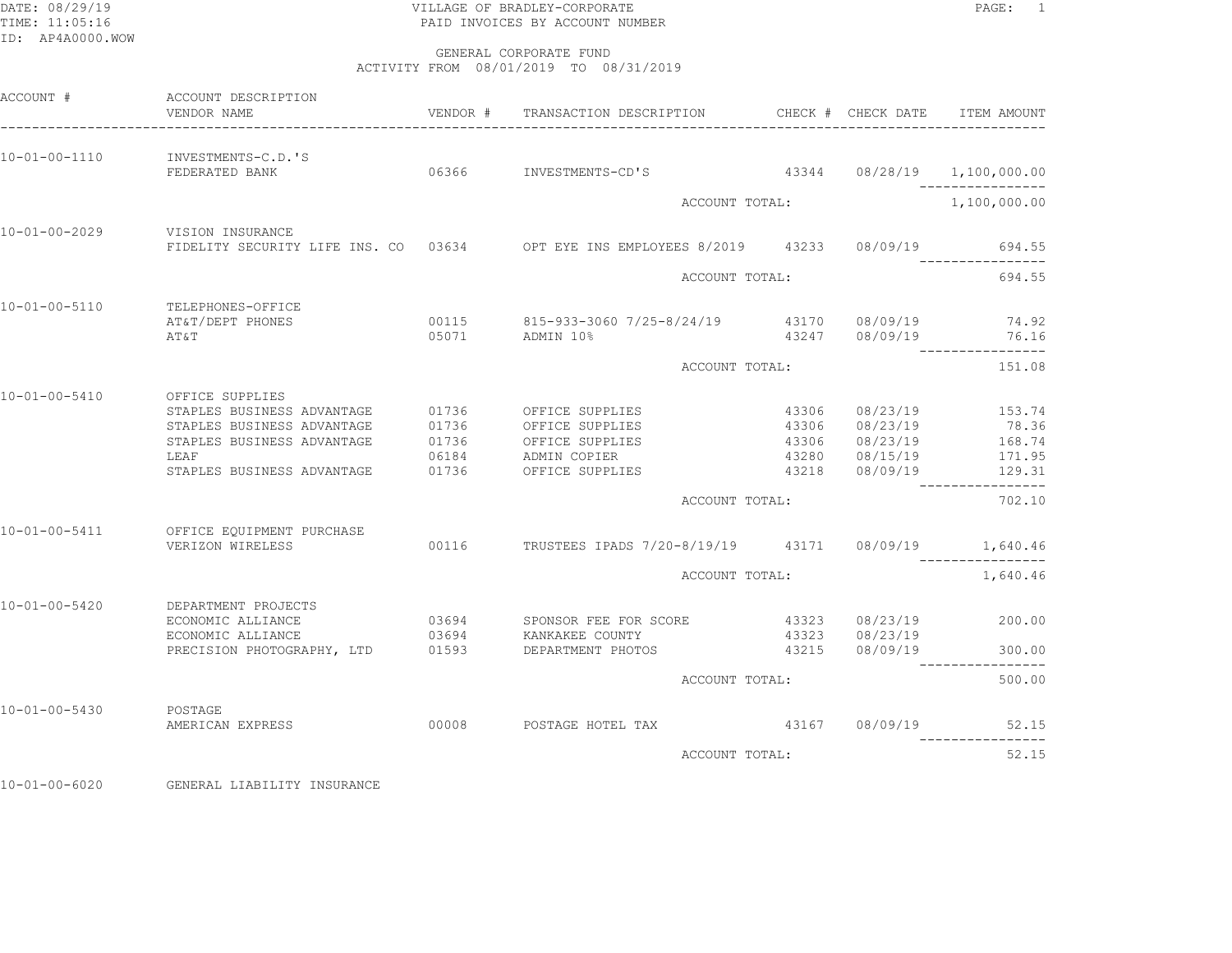## DATE: 08/29/19 PAGE: 1 PAGE: 1 TIME: 11:05:16 PAID INVOICES BY ACCOUNT NUMBER

 GENERAL CORPORATE FUNDACTIVITY FROM 08/01/2019 TO 08/31/2019

| ACCOUNT #             | ACCOUNT DESCRIPTION<br>VENDOR NAME                                                                                                              | VENDOR #                         | TRANSACTION DESCRIPTION                                                                        |                                  | CHECK # CHECK DATE                                             | ITEM AMOUNT                                   |
|-----------------------|-------------------------------------------------------------------------------------------------------------------------------------------------|----------------------------------|------------------------------------------------------------------------------------------------|----------------------------------|----------------------------------------------------------------|-----------------------------------------------|
| 10-01-00-1110         | INVESTMENTS-C.D.'S<br>FEDERATED BANK                                                                                                            |                                  | 06366 INVESTMENTS-CD'S                                                                         |                                  |                                                                | 43344 08/28/19 1,100,000.00                   |
|                       |                                                                                                                                                 |                                  | ACCOUNT TOTAL:                                                                                 |                                  |                                                                | 1,100,000.00                                  |
| 10-01-00-2029         | VISION INSURANCE                                                                                                                                |                                  | FIDELITY SECURITY LIFE INS. CO 03634 OPT EYE INS EMPLOYEES 8/2019 43233 08/09/19               |                                  |                                                                | 694.55                                        |
|                       |                                                                                                                                                 |                                  | ACCOUNT TOTAL:                                                                                 |                                  |                                                                | 694.55                                        |
| $10 - 01 - 00 - 5110$ | TELEPHONES-OFFICE<br>AT&T/DEPT PHONES<br>AT&T                                                                                                   |                                  | 00115 815-933-3060 7/25-8/24/19<br>05071 ADMIN 10%                                             |                                  | 43170 08/09/19<br>43247 08/09/19                               | 74.92<br>76.16<br>------------                |
|                       |                                                                                                                                                 |                                  | ACCOUNT TOTAL:                                                                                 |                                  |                                                                | 151.08                                        |
| 10-01-00-5410         | OFFICE SUPPLIES<br>STAPLES BUSINESS ADVANTAGE<br>STAPLES BUSINESS ADVANTAGE<br>STAPLES BUSINESS ADVANTAGE<br>LEAF<br>STAPLES BUSINESS ADVANTAGE | 01736<br>01736<br>06184<br>01736 | 01736 OFFICE SUPPLIES<br>OFFICE SUPPLIES<br>OFFICE SUPPLIES<br>ADMIN COPIER<br>OFFICE SUPPLIES | 43306<br>43306<br>43280<br>43218 | 08/23/19<br>08/23/19<br>43306 08/23/19<br>08/15/19<br>08/09/19 | 153.74<br>78.36<br>168.74<br>171.95<br>129.31 |
|                       |                                                                                                                                                 |                                  | ACCOUNT TOTAL:                                                                                 |                                  |                                                                | ----------------<br>702.10                    |
| 10-01-00-5411         | OFFICE EQUIPMENT PURCHASE<br>VERIZON WIRELESS                                                                                                   |                                  | 00116 TRUSTEES IPADS 7/20-8/19/19 43171 08/09/19 1,640.46                                      |                                  |                                                                | ----------------                              |
|                       |                                                                                                                                                 |                                  | ACCOUNT TOTAL:                                                                                 |                                  |                                                                | 1,640.46                                      |
| 10-01-00-5420         | DEPARTMENT PROJECTS<br>ECONOMIC ALLIANCE<br>ECONOMIC ALLIANCE<br>PRECISION PHOTOGRAPHY, LTD                                                     | 03694<br>01593                   | 03694 SPONSOR FEE FOR SCORE<br>KANKAKEE COUNTY<br>DEPARTMENT PHOTOS                            | 43323<br>43323<br>43215          | 08/23/19<br>08/23/19<br>08/09/19                               | 200.00<br>300.00                              |
|                       |                                                                                                                                                 |                                  | ACCOUNT TOTAL:                                                                                 |                                  |                                                                | 500.00                                        |
|                       |                                                                                                                                                 |                                  |                                                                                                |                                  |                                                                |                                               |
| $10 - 01 - 00 - 5430$ | POSTAGE<br>AMERICAN EXPRESS 00008                                                                                                               |                                  | POSTAGE HOTEL TAX 43167                                                                        |                                  | 08/09/19                                                       | 52.15                                         |
|                       |                                                                                                                                                 |                                  | ACCOUNT TOTAL:                                                                                 |                                  |                                                                | 52.15                                         |
|                       |                                                                                                                                                 |                                  |                                                                                                |                                  |                                                                |                                               |

10-01-00-6020 GENERAL LIABILITY INSURANCE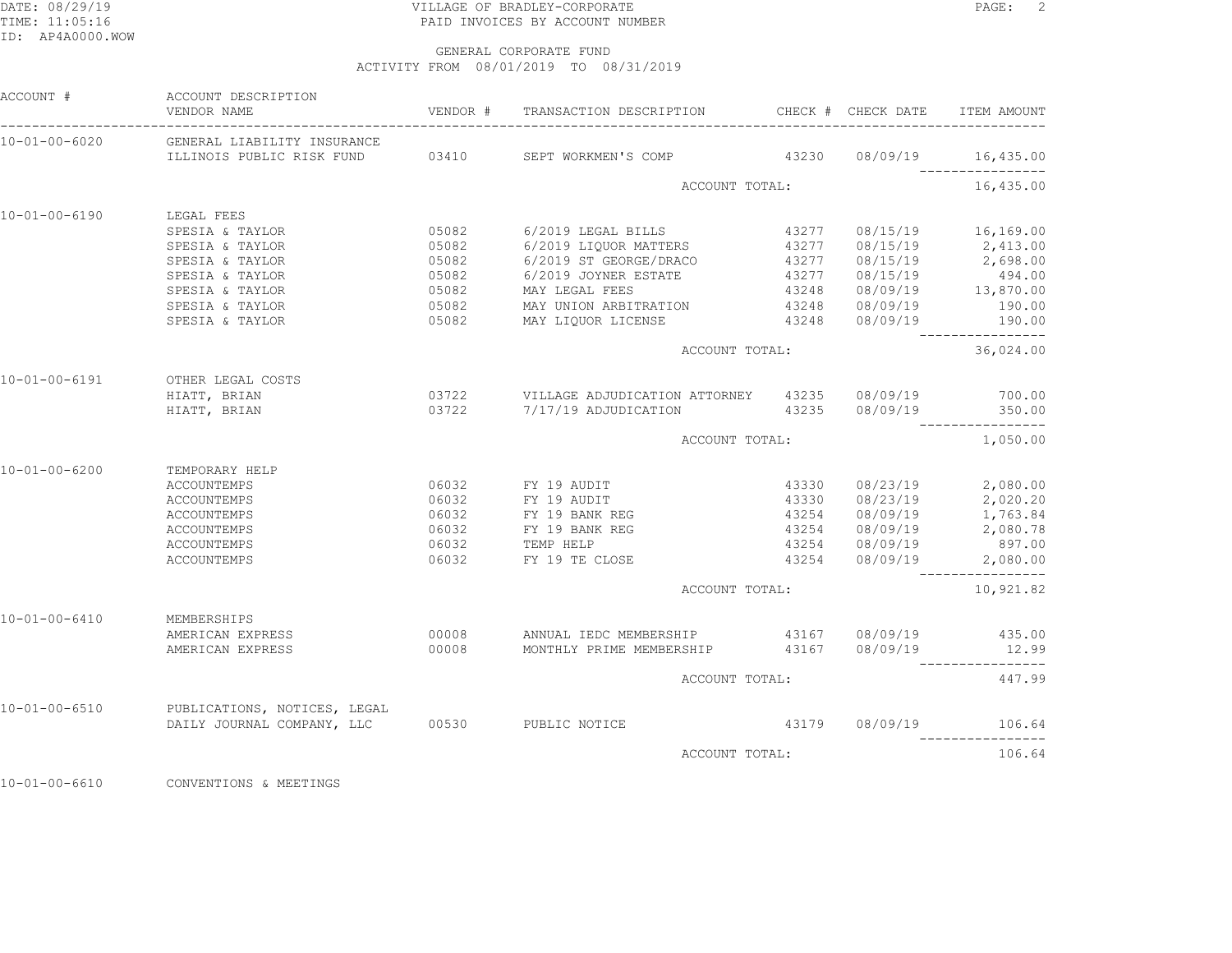## DATE: 08/29/19 PAGE: 2 TIME: 11:05:16 PAID INVOICES BY ACCOUNT NUMBER

 GENERAL CORPORATE FUNDACTIVITY FROM 08/01/2019 TO 08/31/2019

| ACCOUNT #             | ACCOUNT DESCRIPTION<br>VENDOR NAME                                                   |                  | VENDOR # TRANSACTION DESCRIPTION CHECK # CHECK DATE                                                                                                    |       |                | ITEM AMOUNT                                        |
|-----------------------|--------------------------------------------------------------------------------------|------------------|--------------------------------------------------------------------------------------------------------------------------------------------------------|-------|----------------|----------------------------------------------------|
| 10-01-00-6020         | GENERAL LIABILITY INSURANCE                                                          |                  |                                                                                                                                                        |       |                |                                                    |
|                       | ILLINOIS PUBLIC RISK FUND 03410 SEPT WORKMEN'S COMP 43230 08/09/19 16,435.00         |                  |                                                                                                                                                        |       |                |                                                    |
|                       |                                                                                      |                  | ACCOUNT TOTAL:                                                                                                                                         |       |                | 16,435.00                                          |
| 10-01-00-6190         | LEGAL FEES                                                                           |                  |                                                                                                                                                        |       |                |                                                    |
|                       | SPESIA & TAYLOR                                                                      |                  | 05082 6/2019 LEGAL BILLS                                                                                                                               |       |                | 43277 08/15/19 16,169.00                           |
|                       | SPESIA & TAYLOR                                                                      | 05082            | 6/2019 LIQUOR MATTERS                                                                                                                                  |       | 43277 08/15/19 | 08/15/19 2,413.00<br>08/15/19 2,698.00             |
|                       | SPESIA & TAYLOR                                                                      |                  | 05082 6/2019 ST GEORGE/DRACO                                                                                                                           | 43277 |                |                                                    |
|                       | SPESIA & TAYLOR                                                                      |                  | 05082 6/2019 JOYNER ESTATE 43277 08/15/19 494.00<br>05082 MAY LEGAL FEES 43248 08/09/19 13,870.00<br>05082 MAY UNION ARBITRATION 43248 08/09/19 190.00 |       |                |                                                    |
|                       | SPESIA & TAYLOR                                                                      |                  |                                                                                                                                                        |       |                |                                                    |
|                       | SPESIA & TAYLOR                                                                      |                  |                                                                                                                                                        |       |                |                                                    |
|                       | SPESIA & TAYLOR                                                                      |                  | 05082 MAY LIQUOR LICENSE 43248 08/09/19 190.00                                                                                                         |       |                |                                                    |
|                       |                                                                                      |                  | ACCOUNT TOTAL:                                                                                                                                         |       |                | 36,024.00                                          |
| $10 - 01 - 00 - 6191$ | OTHER LEGAL COSTS                                                                    |                  |                                                                                                                                                        |       |                |                                                    |
|                       | HIATT, BRIAN                                                                         |                  |                                                                                                                                                        |       |                |                                                    |
|                       | HIATT, BRIAN                                                                         |                  | 03722 7/17/19 ADJUDICATION 43235 08/09/19 350.00                                                                                                       |       |                |                                                    |
|                       |                                                                                      |                  | ACCOUNT TOTAL:                                                                                                                                         |       |                | 1,050.00                                           |
| $10 - 01 - 00 - 6200$ | TEMPORARY HELP                                                                       |                  |                                                                                                                                                        |       |                |                                                    |
|                       | <b>ACCOUNTEMPS</b>                                                                   |                  | 06032 FY 19 AUDIT                                                                                                                                      | 43330 |                | $08/23/19$ 2,080.00                                |
|                       | ACCOUNTEMPS                                                                          |                  |                                                                                                                                                        |       |                |                                                    |
|                       | ACCOUNTEMPS                                                                          |                  | 06032 FY 19 AUDIT<br>06032 FY 19 BANK REG                                                                                                              |       |                | 43330 08/23/19 2,020.20<br>43254 08/09/19 1,763.84 |
|                       | <b>ACCOUNTEMPS</b>                                                                   |                  | 06032 FY 19 BANK REG                                                                                                                                   | 43254 |                | 08/09/19 2,080.78                                  |
|                       | ACCOUNTEMPS                                                                          | $06032$<br>06032 | TEMP HELP                                                                                                                                              |       | 43254 08/09/19 | 897.00                                             |
|                       | ACCOUNTEMPS                                                                          |                  | 06032 FY 19 TE CLOSE                                                                                                                                   |       |                | $43254$ $08/09/19$ 2,080.00                        |
|                       |                                                                                      |                  | ACCOUNT TOTAL:                                                                                                                                         |       |                | 10,921.82                                          |
| $10 - 01 - 00 - 6410$ | MEMBERSHIPS                                                                          |                  |                                                                                                                                                        |       |                |                                                    |
|                       | AMERICAN EXPRESS                                                                     |                  | 00008 ANNUAL IEDC MEMBERSHIP 43167 08/09/19 435.00                                                                                                     |       |                |                                                    |
|                       | AMERICAN EXPRESS                                                                     |                  | 00008 MONTHLY PRIME MEMBERSHIP 43167 08/09/19 12.99                                                                                                    |       |                |                                                    |
|                       |                                                                                      |                  | ACCOUNT TOTAL:                                                                                                                                         |       |                | 447.99                                             |
| 10-01-00-6510         | PUBLICATIONS, NOTICES, LEGAL<br>DAILY JOURNAL COMPANY, LLC    00530    PUBLIC NOTICE |                  |                                                                                                                                                        |       |                |                                                    |
|                       |                                                                                      |                  |                                                                                                                                                        |       | 43179 08/09/19 | 106.64                                             |
|                       |                                                                                      |                  | ACCOUNT TOTAL:                                                                                                                                         |       |                | 106.64                                             |
|                       |                                                                                      |                  |                                                                                                                                                        |       |                |                                                    |

10-01-00-6610 CONVENTIONS & MEETINGS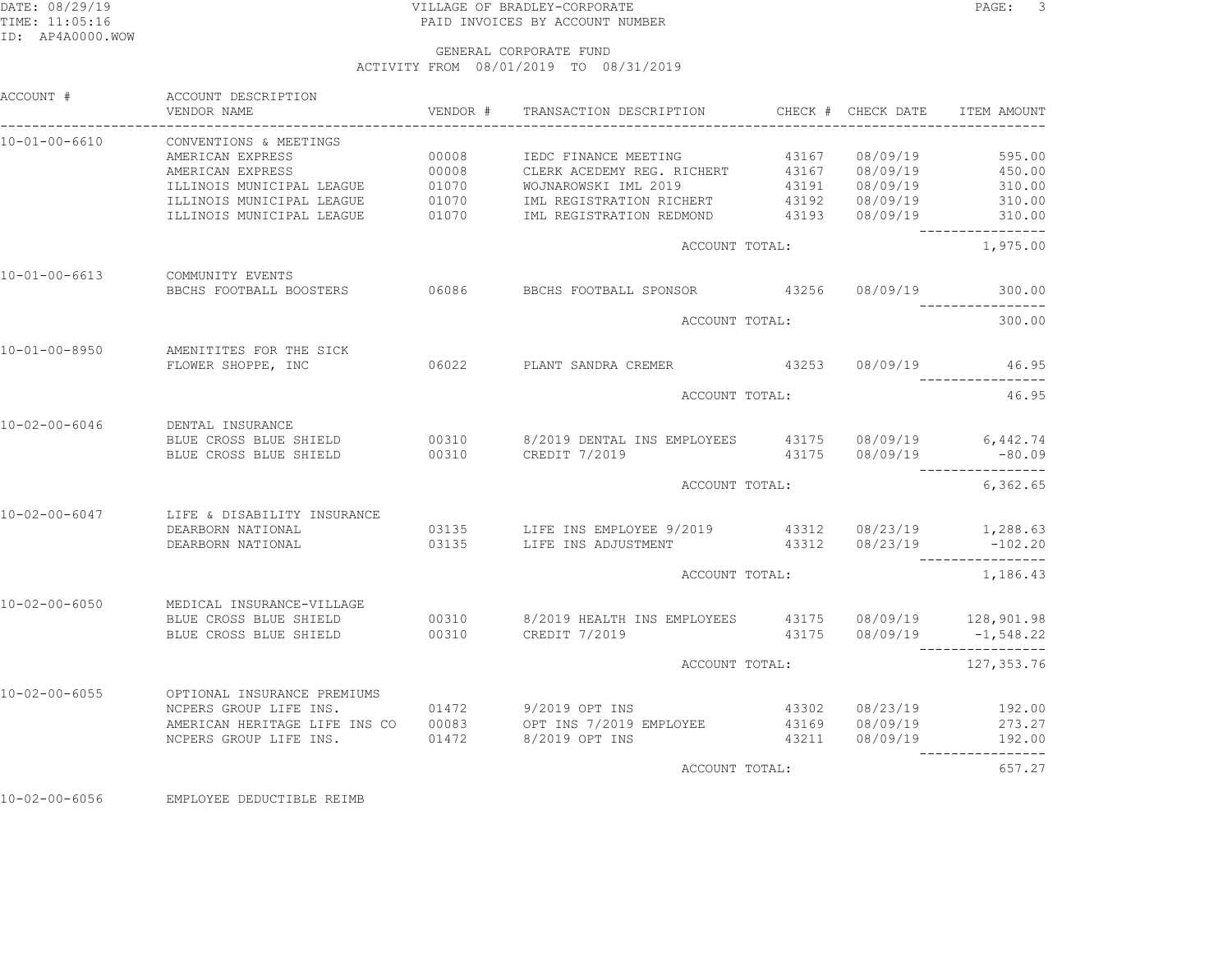## DATE: 08/29/19 PAGE: 3 PAGE: 3 TIME: 11:05:16 PAID INVOICES BY ACCOUNT NUMBER

#### GENERAL CORPORATE FUNDACTIVITY FROM 08/01/2019 TO 08/31/2019

| ACCOUNT #             | ACCOUNT DESCRIPTION<br>VENDOR NAME                                 | VENDOR # |                                                                                                                                                    |       |                | ITEM AMOUNT                                         |
|-----------------------|--------------------------------------------------------------------|----------|----------------------------------------------------------------------------------------------------------------------------------------------------|-------|----------------|-----------------------------------------------------|
| $10 - 01 - 00 - 6610$ | CONVENTIONS & MEETINGS<br>AMERICAN EXPRESS                         | 00008    | IEDC FINANCE MEETING                                                                                                                               |       | 43167 08/09/19 | 595.00                                              |
|                       | AMERICAN EXPRESS                                                   | 00008    | CLERK ACEDEMY REG. RICHERT 43167 08/09/19 450.00<br>CLERK ACEDEMI NEG.<br>WOJNAROWSKI IML 2019 43191 $08/09/19$<br>-------- PICHERT 43192 08/09/19 |       |                |                                                     |
|                       | ILLINOIS MUNICIPAL LEAGUE 01070<br>ILLINOIS MUNICIPAL LEAGUE 01070 |          |                                                                                                                                                    |       | 43191 08/09/19 | 310.00                                              |
|                       |                                                                    |          | IML REGISTRATION RICHERT                                                                                                                           |       |                | 310.00                                              |
|                       | ILLINOIS MUNICIPAL LEAGUE                                          | 01070    | IML REGISTRATION REDMOND 43193 08/09/19 310.00                                                                                                     |       |                | -----------------                                   |
|                       |                                                                    |          | ACCOUNT TOTAL:                                                                                                                                     |       |                | 1,975.00                                            |
| $10 - 01 - 00 - 6613$ | COMMUNITY EVENTS                                                   |          | BBCHS FOOTBALL BOOSTERS 06086 BBCHS FOOTBALL SPONSOR 43256 08/09/19                                                                                |       |                | 300.00                                              |
|                       |                                                                    |          |                                                                                                                                                    |       |                |                                                     |
|                       |                                                                    |          | ACCOUNT TOTAL:                                                                                                                                     |       |                | 300.00                                              |
| $10 - 01 - 00 - 8950$ | AMENITITES FOR THE SICK<br>FLOWER SHOPPE, INC                      |          | 06022 PLANT SANDRA CREMER 43253 08/09/19                                                                                                           |       |                | 46.95                                               |
|                       |                                                                    |          |                                                                                                                                                    |       |                | 46.95                                               |
|                       |                                                                    |          | ACCOUNT TOTAL:                                                                                                                                     |       |                |                                                     |
| $10 - 02 - 00 - 6046$ | DENTAL INSURANCE                                                   |          |                                                                                                                                                    |       |                |                                                     |
|                       | BLUE CROSS BLUE SHIELD                                             |          | 00310 8/2019 DENTAL INS EMPLOYEES 43175 08/09/19 6,442.74                                                                                          |       |                |                                                     |
|                       | BLUE CROSS BLUE SHIELD 00310 CREDIT 7/2019                         |          |                                                                                                                                                    |       |                | $43175$ $08/09/19$ -80.09                           |
|                       |                                                                    |          | ACCOUNT TOTAL:                                                                                                                                     |       |                | 6,362.65                                            |
| 10-02-00-6047         | LIFE & DISABILITY INSURANCE                                        |          |                                                                                                                                                    |       |                |                                                     |
|                       | DEARBORN NATIONAL                                                  |          | 03135 LIFE INS EMPLOYEE 9/2019 43312 08/23/19 1,288.63                                                                                             |       |                |                                                     |
|                       | DEARBORN NATIONAL                                                  |          | 03135 LIFE INS ADJUSTMENT 43312                                                                                                                    |       |                | 08/23/19 -102.20                                    |
|                       |                                                                    |          | ACCOUNT TOTAL:                                                                                                                                     |       |                | 1,186.43                                            |
| $10 - 02 - 00 - 6050$ | MEDICAL INSURANCE-VILLAGE                                          |          |                                                                                                                                                    |       |                |                                                     |
|                       |                                                                    |          | BLUE CROSS BLUE SHIELD 00310 8/2019 HEALTH INS EMPLOYEES 43175 08/09/19 128,901.98                                                                 |       |                |                                                     |
|                       | BLUE CROSS BLUE SHIELD                                             |          | 00310 CREDIT 7/2019                                                                                                                                |       |                | $43175$ $08/09/19$ $-1,548.22$<br>----------------- |
|                       |                                                                    |          | ACCOUNT TOTAL:                                                                                                                                     |       |                | 127, 353.76                                         |
| $10 - 02 - 00 - 6055$ | OPTIONAL INSURANCE PREMIUMS                                        |          |                                                                                                                                                    |       |                |                                                     |
|                       | NCPERS GROUP LIFE INS.                                             |          | 01472 9/2019 OPT INS                                                                                                                               |       |                | $43302$ $08/23/19$ $192.00$                         |
|                       | AMERICAN HERITAGE LIFE INS CO                                      | 00083    | OPT INS 7/2019 EMPLOYEE                                                                                                                            |       | 43169 08/09/19 | 273.27                                              |
|                       | NCPERS GROUP LIFE INS.                                             | 01472    | 8/2019 OPT INS                                                                                                                                     | 43211 | 08/09/19       | 192.00                                              |
|                       |                                                                    |          | ACCOUNT TOTAL:                                                                                                                                     |       |                | 657.27                                              |
|                       |                                                                    |          |                                                                                                                                                    |       |                |                                                     |

10-02-00-6056 EMPLOYEE DEDUCTIBLE REIMB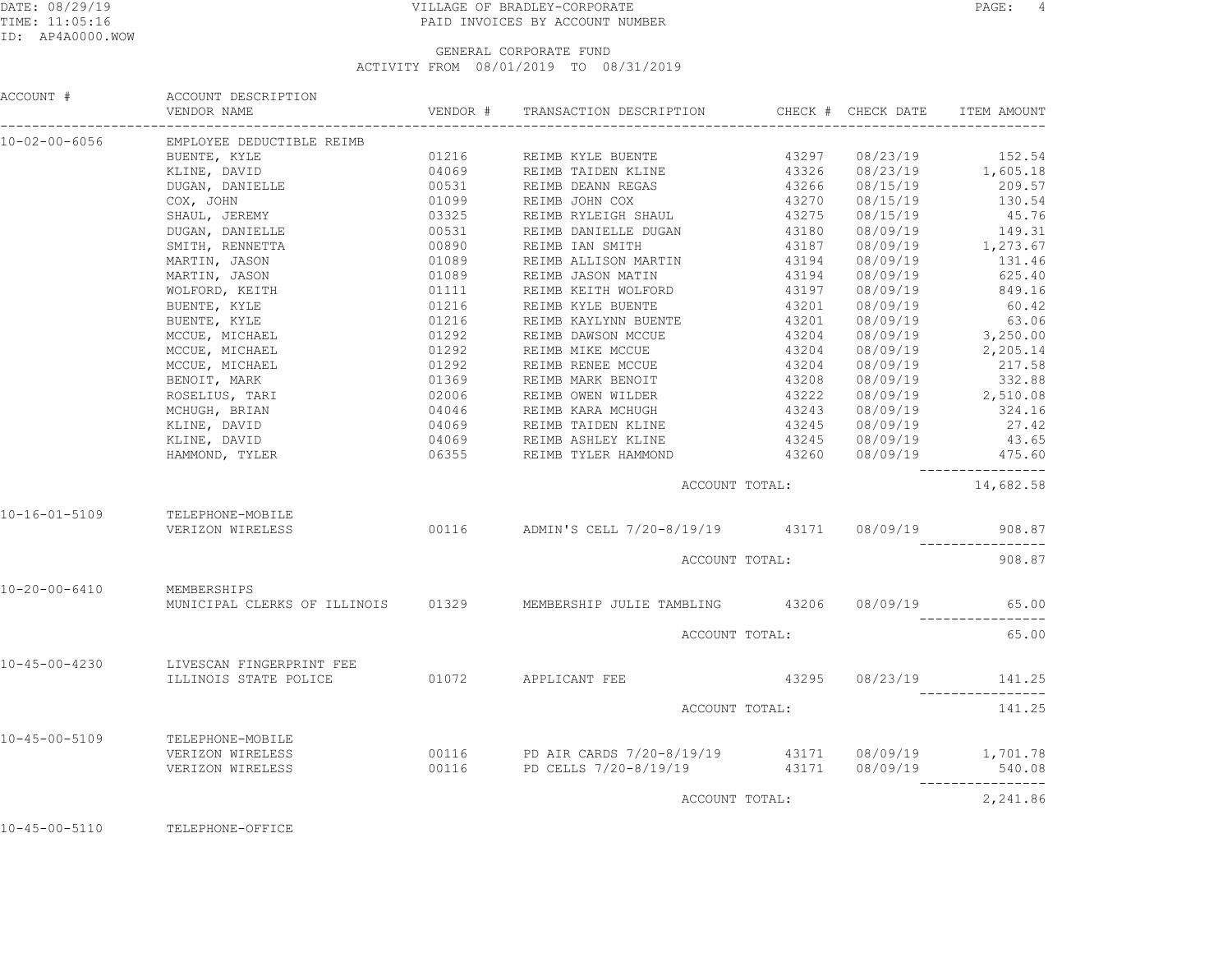## DATE: 08/29/19 PAGE: 4 TIME: 11:05:16 PAID INVOICES BY ACCOUNT NUMBER

### GENERAL CORPORATE FUNDACTIVITY FROM 08/01/2019 TO 08/31/2019

| ACCOUNT #                                                                                                                                                                                                                          | ACCOUNT DESCRIPTION<br>VENDOR NAME                                    | VENDOR # TRANSACTION DESCRIPTION CHECK # CHECK DATE                                                                                                                                               |                |                       | ITEM AMOUNT      |
|------------------------------------------------------------------------------------------------------------------------------------------------------------------------------------------------------------------------------------|-----------------------------------------------------------------------|---------------------------------------------------------------------------------------------------------------------------------------------------------------------------------------------------|----------------|-----------------------|------------------|
| 10-02-00-6056                                                                                                                                                                                                                      | EMPLOYEE DEDUCTIBLE REIMB                                             |                                                                                                                                                                                                   |                |                       |                  |
|                                                                                                                                                                                                                                    |                                                                       |                                                                                                                                                                                                   |                |                       |                  |
|                                                                                                                                                                                                                                    |                                                                       |                                                                                                                                                                                                   |                |                       |                  |
|                                                                                                                                                                                                                                    |                                                                       |                                                                                                                                                                                                   |                |                       |                  |
|                                                                                                                                                                                                                                    |                                                                       |                                                                                                                                                                                                   |                |                       |                  |
|                                                                                                                                                                                                                                    |                                                                       |                                                                                                                                                                                                   |                |                       |                  |
|                                                                                                                                                                                                                                    |                                                                       |                                                                                                                                                                                                   |                |                       |                  |
|                                                                                                                                                                                                                                    |                                                                       |                                                                                                                                                                                                   |                |                       |                  |
|                                                                                                                                                                                                                                    |                                                                       |                                                                                                                                                                                                   |                |                       |                  |
|                                                                                                                                                                                                                                    |                                                                       |                                                                                                                                                                                                   |                |                       |                  |
|                                                                                                                                                                                                                                    |                                                                       |                                                                                                                                                                                                   |                |                       |                  |
|                                                                                                                                                                                                                                    |                                                                       |                                                                                                                                                                                                   |                |                       |                  |
|                                                                                                                                                                                                                                    |                                                                       |                                                                                                                                                                                                   |                |                       |                  |
|                                                                                                                                                                                                                                    |                                                                       |                                                                                                                                                                                                   |                |                       |                  |
|                                                                                                                                                                                                                                    |                                                                       |                                                                                                                                                                                                   |                |                       |                  |
|                                                                                                                                                                                                                                    |                                                                       |                                                                                                                                                                                                   |                |                       |                  |
|                                                                                                                                                                                                                                    |                                                                       |                                                                                                                                                                                                   |                |                       |                  |
|                                                                                                                                                                                                                                    |                                                                       |                                                                                                                                                                                                   |                |                       |                  |
|                                                                                                                                                                                                                                    |                                                                       |                                                                                                                                                                                                   |                |                       |                  |
|                                                                                                                                                                                                                                    |                                                                       |                                                                                                                                                                                                   |                |                       |                  |
| CONSTRONG CONTINUE RETRING (1116 SEINE KYLE BUENTE 41297 08/22/19 152.54<br>EMPIOYER RETRING (10169 SEINE TAIDEN KLINE 2022719 17.625.18<br>2023, DAMIELLE CONTINUE (10169 SEINE DAIDEN KCLINE 41226 08/15/19 205.57<br>2023, DAMI |                                                                       |                                                                                                                                                                                                   |                |                       |                  |
|                                                                                                                                                                                                                                    |                                                                       |                                                                                                                                                                                                   |                |                       | ---------------- |
|                                                                                                                                                                                                                                    |                                                                       |                                                                                                                                                                                                   | ACCOUNT TOTAL: |                       | 14,682.58        |
|                                                                                                                                                                                                                                    | 10-16-01-5109 TELEPHONE-MOBILE<br>VERIZON WIRELESS                    |                                                                                                                                                                                                   |                |                       | 908.87           |
|                                                                                                                                                                                                                                    |                                                                       | 00116 ADMIN'S CELL 7/20-8/19/19 43171 08/09/19 908.8                                                                                                                                              |                |                       |                  |
|                                                                                                                                                                                                                                    |                                                                       | ACCOUNT TOTAL:                                                                                                                                                                                    |                |                       | 908.87           |
| 10-20-00-6410 MEMBERSHIPS                                                                                                                                                                                                          |                                                                       | MUNICIPAL CLERKS OF ILLINOIS 01329 MEMBERSHIP JULIE TAMBLING 43206 08/09/19                                                                                                                       |                |                       | 65.00            |
|                                                                                                                                                                                                                                    |                                                                       | ACCOUNT TOTAL:                                                                                                                                                                                    |                |                       | 65.00            |
|                                                                                                                                                                                                                                    |                                                                       |                                                                                                                                                                                                   |                |                       |                  |
| $10 - 45 - 00 - 4230$                                                                                                                                                                                                              | LIVESCAN FINGERPRINT FEE<br>ILLINOIS STATE POLICE 01072 APPLICANT FEE |                                                                                                                                                                                                   |                | 43295 08/23/19 141.25 |                  |
|                                                                                                                                                                                                                                    |                                                                       | ACCOUNT TOTAL:                                                                                                                                                                                    |                |                       | 141.25           |
|                                                                                                                                                                                                                                    |                                                                       |                                                                                                                                                                                                   |                |                       |                  |
|                                                                                                                                                                                                                                    | 10-45-00-5109 TELEPHONE-MOBILE<br>VERIZON WIRELESS                    |                                                                                                                                                                                                   |                |                       |                  |
|                                                                                                                                                                                                                                    | VERIZON WIRELESS                                                      | 00116 PD AIR CARDS 7/20-8/19/19               43171       08/09/19            1,701.78<br>00116                PD CELLS 7/20-8/19/19                   43171      08/09/19                 540.08 |                |                       |                  |
|                                                                                                                                                                                                                                    |                                                                       | ACCOUNT TOTAL:                                                                                                                                                                                    |                |                       | 2,241.86         |

10-45-00-5110 TELEPHONE-OFFICE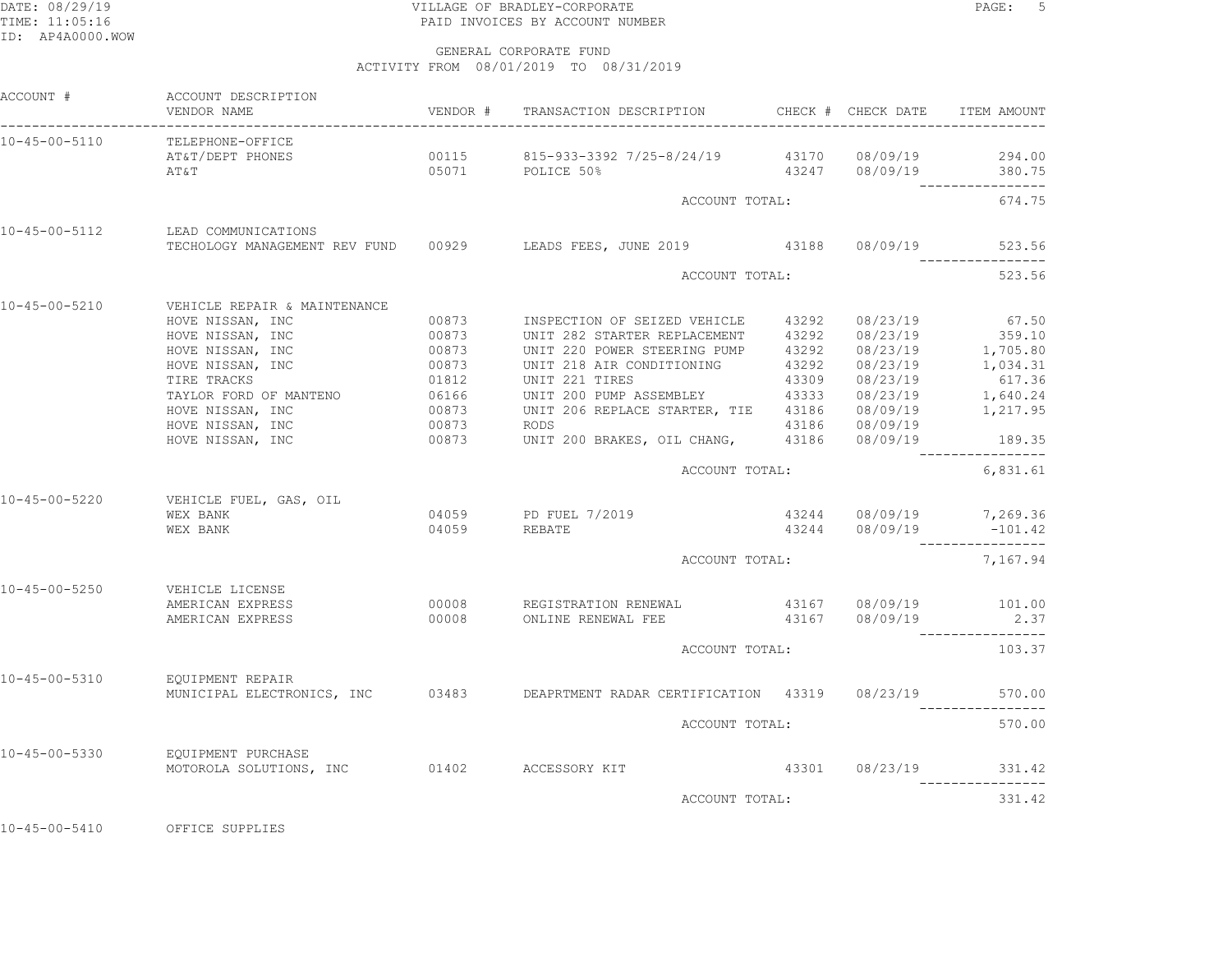## DATE: 08/29/19 PAGE: 5 PRODUCT CORPORATE PAGE: 5 PRODUCT CORPORATE TIME: 11:05:16 PAID INVOICES BY ACCOUNT NUMBER

 GENERAL CORPORATE FUNDACTIVITY FROM 08/01/2019 TO 08/31/2019

| ACCOUNT #                      | ACCOUNT DESCRIPTION<br>VENDOR NAME                                                                                                                                                                                                                      |                                                                               | VENDOR # TRANSACTION DESCRIPTION                                                                                                                                                                                                                                                                                                                                            | CHECK # CHECK DATE                                                                                                                                  | ITEM AMOUNT                                                           |
|--------------------------------|---------------------------------------------------------------------------------------------------------------------------------------------------------------------------------------------------------------------------------------------------------|-------------------------------------------------------------------------------|-----------------------------------------------------------------------------------------------------------------------------------------------------------------------------------------------------------------------------------------------------------------------------------------------------------------------------------------------------------------------------|-----------------------------------------------------------------------------------------------------------------------------------------------------|-----------------------------------------------------------------------|
| 10-45-00-5110                  | TELEPHONE-OFFICE<br>AT&T/DEPT PHONES<br>AT&T                                                                                                                                                                                                            |                                                                               | $00115$ 815-933-3392 7/25-8/24/19 43170 08/09/19 294.00<br>05071 POLICE 50%                                                                                                                                                                                                                                                                                                 | 43247 08/09/19 380.75                                                                                                                               |                                                                       |
|                                |                                                                                                                                                                                                                                                         |                                                                               | ACCOUNT TOTAL:                                                                                                                                                                                                                                                                                                                                                              |                                                                                                                                                     | ________________<br>674.75                                            |
| 10-45-00-5112                  | LEAD COMMUNICATIONS                                                                                                                                                                                                                                     |                                                                               | TECHOLOGY MANAGEMENT REV FUND 00929 LEADS FEES, JUNE 2019 43188 08/09/19                                                                                                                                                                                                                                                                                                    |                                                                                                                                                     | 523.56<br>________________                                            |
|                                |                                                                                                                                                                                                                                                         |                                                                               | ACCOUNT TOTAL:                                                                                                                                                                                                                                                                                                                                                              |                                                                                                                                                     | 523.56                                                                |
| 10-45-00-5210<br>10-45-00-5220 | VEHICLE REPAIR & MAINTENANCE<br>HOVE NISSAN, INC<br>HOVE NISSAN, INC<br>HOVE NISSAN, INC<br>HOVE NISSAN, INC<br>TIRE TRACKS<br>TAYLOR FORD OF MANTENO<br>HOVE NISSAN, INC<br>HOVE NISSAN, INC<br>HOVE NISSAN, INC<br>VEHICLE FUEL, GAS, OIL<br>WEX BANK | 00873<br>00873<br>00873<br>00873<br>01812<br>06166<br>00873<br>00873<br>00873 | INSPECTION OF SEIZED VEHICLE 43292 08/23/19<br>UNIT 282 STARTER REPLACEMENT 43292 08/23/19<br>UNIT 220 POWER STEERING PUMP<br>UNIT 218 AIR CONDITIONING<br>UNIT 221 TIRES<br>UNIT 200 PUMP ASSEMBLEY<br>UNIT 206 REPLACE STARTER, TIE 43186 08/09/19 1,217.95<br><b>RODS</b><br>UNIT 200 BRAKES, OIL CHANG, 43186 08/09/19 189.35<br>ACCOUNT TOTAL:<br>04059 PD FUEL 7/2019 | 43292 08/23/19 1,705.80<br>43292 08/23/19 1,034.31<br>43309         08/23/19<br>43333         08/23/19<br>43186 08/09/19<br>43244 08/09/19 7,269.36 | 67.50<br>359.10<br>617.36<br>1,640.24<br>----------------<br>6,831.61 |
|                                | WEX BANK                                                                                                                                                                                                                                                | 04059                                                                         | <b>REBATE</b>                                                                                                                                                                                                                                                                                                                                                               | $43244$ $08/09/19$ -101.                                                                                                                            | $-101.42$                                                             |
|                                |                                                                                                                                                                                                                                                         |                                                                               | ACCOUNT TOTAL:                                                                                                                                                                                                                                                                                                                                                              |                                                                                                                                                     | 7,167.94                                                              |
| $10 - 45 - 00 - 5250$          | VEHICLE LICENSE<br>AMERICAN EXPRESS<br>AMERICAN EXPRESS                                                                                                                                                                                                 |                                                                               | 00008 REGISTRATION RENEWAL 43167 08/09/19 101.00<br>00008 ONLINE RENEWAL FEE 43167 08/09/19                                                                                                                                                                                                                                                                                 |                                                                                                                                                     | 2.37<br>----------------                                              |
|                                |                                                                                                                                                                                                                                                         |                                                                               | ACCOUNT TOTAL:                                                                                                                                                                                                                                                                                                                                                              |                                                                                                                                                     | 103.37                                                                |
| 10-45-00-5310                  | EOUIPMENT REPAIR                                                                                                                                                                                                                                        |                                                                               | MUNICIPAL ELECTRONICS, INC 03483 DEAPRTMENT RADAR CERTIFICATION 43319 08/23/19                                                                                                                                                                                                                                                                                              |                                                                                                                                                     | 570.00<br>-----------------                                           |
|                                |                                                                                                                                                                                                                                                         |                                                                               | ACCOUNT TOTAL:                                                                                                                                                                                                                                                                                                                                                              |                                                                                                                                                     | 570.00                                                                |
| $10 - 45 - 00 - 5330$          | EQUIPMENT PURCHASE<br>MOTOROLA SOLUTIONS, INC                                                                                                                                                                                                           |                                                                               | 01402 ACCESSORY KIT                                                                                                                                                                                                                                                                                                                                                         | 43301 08/23/19 331.42                                                                                                                               | --------                                                              |
|                                |                                                                                                                                                                                                                                                         |                                                                               | ACCOUNT TOTAL:                                                                                                                                                                                                                                                                                                                                                              |                                                                                                                                                     | 331.42                                                                |

10-45-00-5410 OFFICE SUPPLIES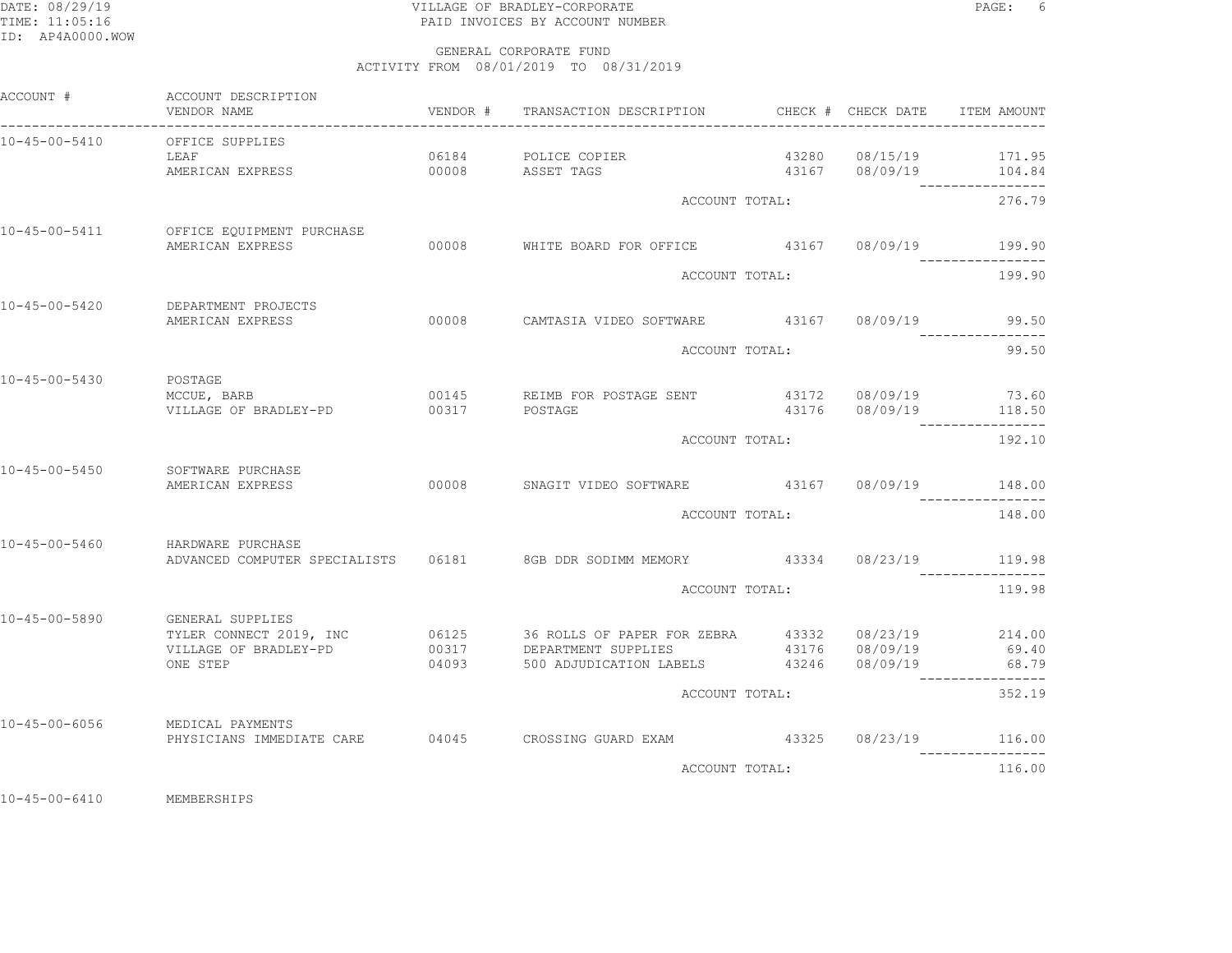## DATE: 08/29/19 VILLAGE OF BRADLEY-CORPORATE PAGE: 6TIME: 11:05:16 PAID INVOICES BY ACCOUNT NUMBER

 GENERAL CORPORATE FUNDACTIVITY FROM 08/01/2019 TO 08/31/2019

| ACCOUNT #             | ACCOUNT DESCRIPTION<br>VENDOR NAME                                               | VENDOR # | TRANSACTION DESCRIPTION                                                                                                              |  | CHECK # CHECK DATE                             | ITEM AMOUNT               |
|-----------------------|----------------------------------------------------------------------------------|----------|--------------------------------------------------------------------------------------------------------------------------------------|--|------------------------------------------------|---------------------------|
| 10-45-00-5410         | OFFICE SUPPLIES<br>LEAF<br>AMERICAN EXPRESS                                      |          | 06184 POLICE COPIER<br>00008 ASSET TAGS                                                                                              |  | 43280 08/15/19 171.95<br>43167 08/09/19 104.84 |                           |
|                       |                                                                                  |          | ACCOUNT TOTAL:                                                                                                                       |  |                                                | 276.79                    |
| 10-45-00-5411         | OFFICE EQUIPMENT PURCHASE<br>AMERICAN EXPRESS                                    |          | 00008 WHITE BOARD FOR OFFICE 43167 08/09/19 199.90                                                                                   |  |                                                |                           |
|                       |                                                                                  |          | ACCOUNT TOTAL:                                                                                                                       |  |                                                | 199.90                    |
| $10 - 45 - 00 - 5420$ | DEPARTMENT PROJECTS<br>AMERICAN EXPRESS                                          |          | 00008 CAMTASIA VIDEO SOFTWARE 43167 08/09/19                                                                                         |  |                                                | 99.50                     |
|                       |                                                                                  |          | ACCOUNT TOTAL:                                                                                                                       |  |                                                | 99.50                     |
| 10-45-00-5430         | POSTAGE<br>MCCUE, BARB<br>VILLAGE OF BRADLEY-PD                                  | 00317    | 00145 REIMB FOR POSTAGE SENT<br>POSTAGE                                                                                              |  | 43172 08/09/19 73.60<br>43176 08/09/19 118.50  |                           |
|                       |                                                                                  |          | ACCOUNT TOTAL:                                                                                                                       |  |                                                | 192.10                    |
| $10 - 45 - 00 - 5450$ | SOFTWARE PURCHASE<br>AMERICAN EXPRESS                                            |          | 00008 SNAGIT VIDEO SOFTWARE 43167 08/09/19 148.00                                                                                    |  |                                                |                           |
|                       |                                                                                  |          | ACCOUNT TOTAL:                                                                                                                       |  |                                                | 148.00                    |
| $10 - 45 - 00 - 5460$ | HARDWARE PURCHASE                                                                |          | ADVANCED COMPUTER SPECIALISTS  06181  8GB DDR SODIMM MEMORY  43334  08/23/19  119.98                                                 |  |                                                |                           |
|                       |                                                                                  |          | ACCOUNT TOTAL:                                                                                                                       |  |                                                | 119.98                    |
| 10-45-00-5890         | GENERAL SUPPLIES<br>TYLER CONNECT 2019, INC<br>VILLAGE OF BRADLEY-PD<br>ONE STEP | 04093    | 06125 36 ROLLS OF PAPER FOR ZEBRA 43332 08/23/19 214.00<br>00317 DEPARTMENT SUPPLIES<br>500 ADJUDICATION LABELS 43246 08/09/19 68.79 |  | 43176 08/09/19                                 | 69.40<br>---------------- |
|                       |                                                                                  |          | ACCOUNT TOTAL:                                                                                                                       |  |                                                | 352.19                    |
| 10-45-00-6056         | MEDICAL PAYMENTS                                                                 |          | PHYSICIANS IMMEDIATE CARE 694045 CROSSING GUARD EXAM 43325 08/23/19 116.00                                                           |  |                                                |                           |
|                       |                                                                                  |          | ACCOUNT TOTAL:                                                                                                                       |  |                                                | 116.00                    |
|                       |                                                                                  |          |                                                                                                                                      |  |                                                |                           |

10-45-00-6410 MEMBERSHIPS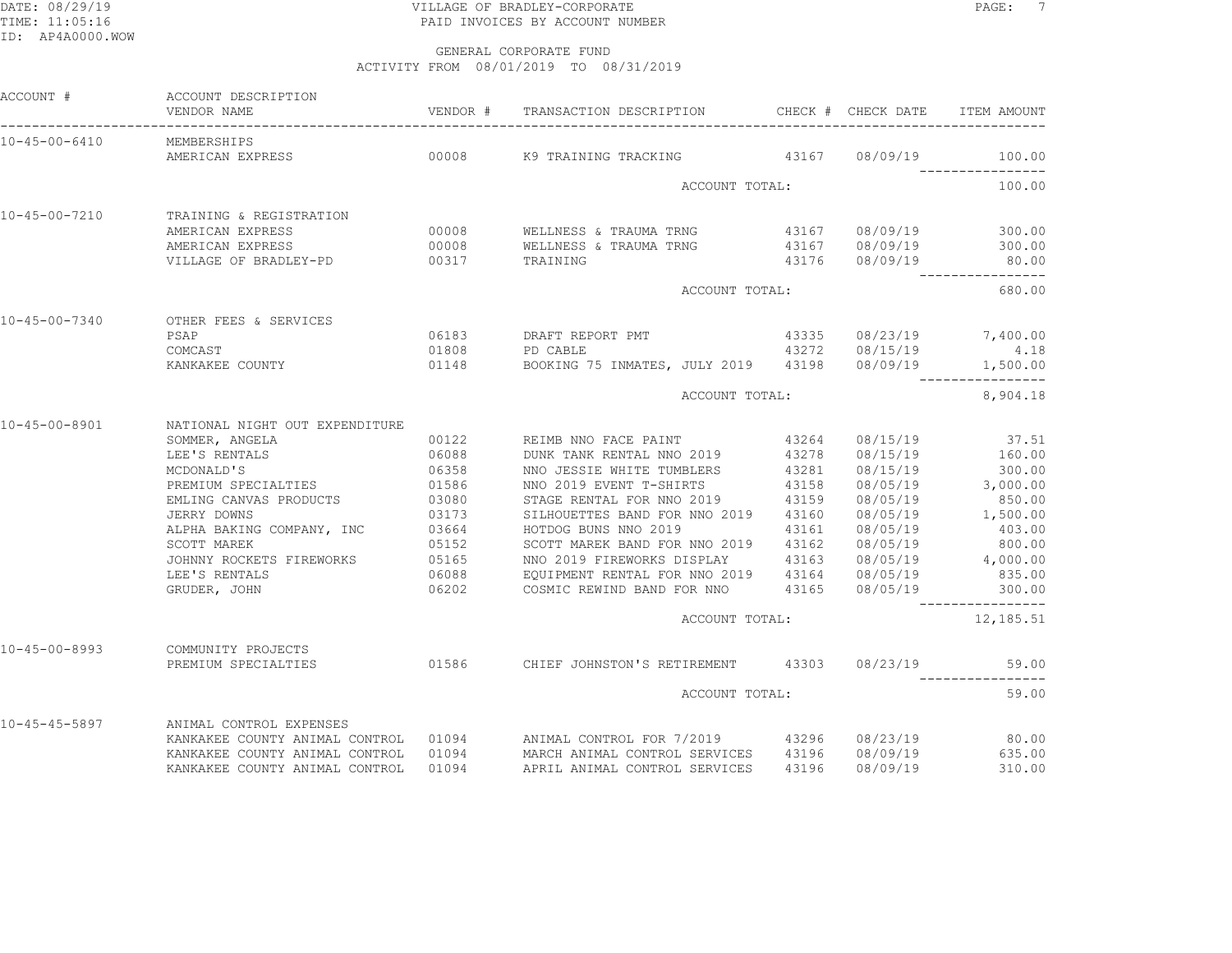## DATE: 08/29/19 PAGE: 7 TIME: 11:05:16 PAID INVOICES BY ACCOUNT NUMBER

GENERAL CORPORATE FUND

ACTIVITY FROM 08/01/2019 TO 08/31/2019

| ACCOUNT #             | ACCOUNT DESCRIPTION                                  |                         | VENDOR # TRANSACTION DESCRIPTION CHECK # CHECK DATE ITEM AMOUNT                                                                                                    |       |                         |                                      |
|-----------------------|------------------------------------------------------|-------------------------|--------------------------------------------------------------------------------------------------------------------------------------------------------------------|-------|-------------------------|--------------------------------------|
| 10-45-00-6410         | MEMBERSHIPS                                          |                         |                                                                                                                                                                    |       |                         |                                      |
|                       |                                                      |                         | AMERICAN EXPRESS 600008 600008 69 TRAINING TRACKING 43167 08/09/19 100.00                                                                                          |       |                         |                                      |
|                       |                                                      |                         | ACCOUNT TOTAL:                                                                                                                                                     |       |                         | 100.00                               |
| 10-45-00-7210         | TRAINING & REGISTRATION                              |                         |                                                                                                                                                                    |       |                         |                                      |
|                       | AMERICAN EXPRESS                                     |                         |                                                                                                                                                                    |       |                         |                                      |
|                       | AMERICAN EXPRESS                                     |                         |                                                                                                                                                                    |       |                         |                                      |
|                       | VILLAGE OF BRADLEY-PD 00317                          |                         | TRAINING                                                                                                                                                           |       | 43176 08/09/19          | 80.00                                |
|                       |                                                      |                         | ACCOUNT TOTAL:                                                                                                                                                     |       |                         | 680.00                               |
| $10 - 45 - 00 - 7340$ | OTHER FEES & SERVICES                                |                         |                                                                                                                                                                    |       |                         |                                      |
|                       | PSAP                                                 |                         | 06183 DRAFT REPORT PMT                                                                                                                                             |       | 43335 08/23/19 7,400.00 |                                      |
|                       | COMCAST                                              | 01808                   |                                                                                                                                                                    |       |                         |                                      |
|                       | KANKAKEE COUNTY 01148                                |                         | PD CABLE<br>PD CABLE 1.18<br>BOOKING 75 INMATES, JULY 2019 43198 08/09/19 1,500.00                                                                                 |       |                         |                                      |
|                       |                                                      |                         | ACCOUNT TOTAL:                                                                                                                                                     |       |                         | 8,904.18                             |
| 10-45-00-8901         | NATIONAL NIGHT OUT EXPENDITURE                       |                         |                                                                                                                                                                    |       |                         |                                      |
|                       | SOMMER, ANGELA                                       |                         |                                                                                                                                                                    |       | 08/15/19                | 37.51                                |
|                       | LEE'S RENTALS                                        |                         |                                                                                                                                                                    |       | 08/15/19                | 160.00                               |
|                       | MCDONALD'S                                           | 06358                   | NNO JESSIE WHITE TUMBLERS                                                                                                                                          | 43281 | 08/15/19                | 300.00                               |
|                       | PREMIUM SPECIALTIES                                  | 01586<br>03080<br>03173 | NNO 02019 EVENT T-SHIRTS 43158<br>2019 EVENT T-SHIRTS 43158                                                                                                        |       |                         | 08/05/19 3,000.00<br>08/05/19 850.00 |
|                       | EMLING CANVAS PRODUCTS<br>JERRY DOWNS                |                         |                                                                                                                                                                    |       |                         |                                      |
|                       | JERRY DOWNS                                          |                         | SILHOUETTES BAND FOR NNO 2019 43160                                                                                                                                |       |                         | 08/05/19 1,500.00                    |
|                       | ALPHA BAKING COMPANY, INC 03664<br>SCOTT MAREK 05152 |                         | HOTDOG BUNS NNO 2019                                                                                                                                               | 43161 | 08/05/19<br>08/05/19    | 403.00                               |
|                       |                                                      |                         | SCOTT MAREK BAND FOR NNO 2019 43162                                                                                                                                |       |                         | 800.00                               |
|                       | JOHNNY ROCKETS FIREWORKS 05165                       |                         | NNO 2019 FIREWORKS DISPLAY 43163                                                                                                                                   |       |                         | $08/05/19$ 4,000.00                  |
|                       | LEE'S RENTALS                                        | 06088                   | EQUIPMENT RENTAL FOR NNO 2019  43164  08/05/19  835.00<br>COSMIC REWIND BAND FOR NNO  43165  08/05/19  300.00                                                      |       |                         |                                      |
|                       | GRUDER, JOHN                                         | 06202                   |                                                                                                                                                                    |       |                         | ----------------                     |
|                       |                                                      |                         | ACCOUNT TOTAL:                                                                                                                                                     |       |                         | 12,185.51                            |
| $10 - 45 - 00 - 8993$ | COMMUNITY PROJECTS                                   |                         |                                                                                                                                                                    |       |                         |                                      |
|                       | PREMIUM SPECIALTIES                                  |                         | 01586 CHIEF JOHNSTON'S RETIREMENT 43303 08/23/19                                                                                                                   |       |                         | 59.00<br>----------------            |
|                       |                                                      |                         | ACCOUNT TOTAL:                                                                                                                                                     |       |                         | 59.00                                |
| 10-45-45-5897         | ANIMAL CONTROL EXPENSES                              |                         |                                                                                                                                                                    |       |                         |                                      |
|                       |                                                      |                         | KANKAKEE COUNTY ANIMAL CONTROL 01094 ANIMAL CONTROL FOR 7/2019 43296 08/23/19<br>KANKAKEE COUNTY ANIMAL CONTROL 01094 MARCH ANIMAL CONTROL SERVICES 43196 08/09/19 |       |                         | 80.00                                |
|                       |                                                      |                         |                                                                                                                                                                    |       |                         | 635.00                               |
|                       | KANKAKEE COUNTY ANIMAL CONTROL                       | 01094                   | APRIL ANIMAL CONTROL SERVICES                                                                                                                                      | 43196 | 08/09/19                | 310.00                               |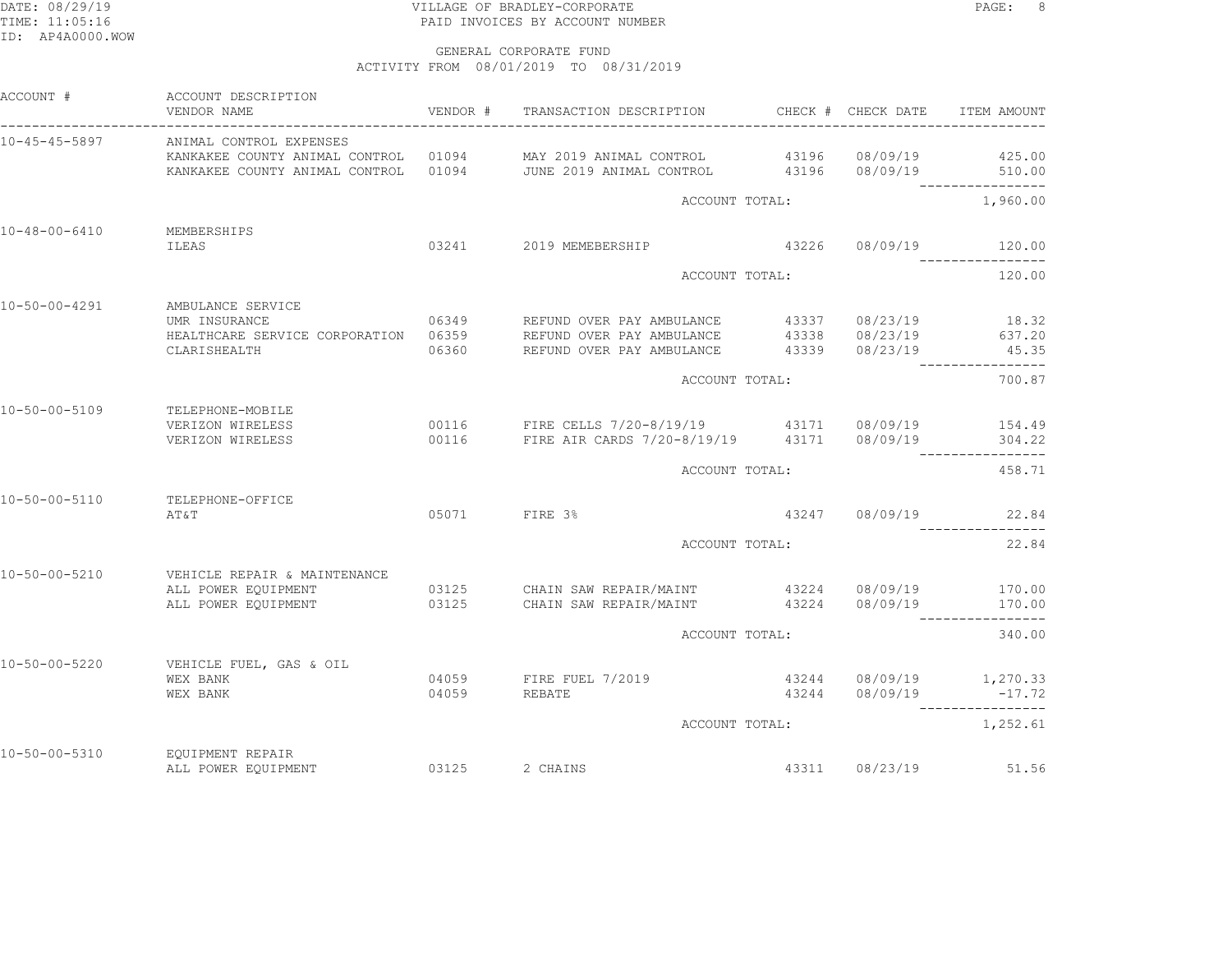## DATE: 08/29/19 VILLAGE OF BRADLEY-CORPORATE PAGE: 8TIME: 11:05:16 PAID INVOICES BY ACCOUNT NUMBER

| ACCOUNT #             | ACCOUNT DESCRIPTION<br>VENDOR NAME                                                                                                                                                                   | VENDOR # |                                                                                                         |                                                  | ITEM AMOUNT                  |
|-----------------------|------------------------------------------------------------------------------------------------------------------------------------------------------------------------------------------------------|----------|---------------------------------------------------------------------------------------------------------|--------------------------------------------------|------------------------------|
| $10 - 45 - 45 - 5897$ | ANIMAL CONTROL EXPENSES<br>KANKAKEE COUNTY ANIMAL CONTROL 01094 MAY 2019 ANIMAL CONTROL 43196 08/09/19 425.00<br>KANKAKEE COUNTY ANIMAL CONTROL 01094 JUNE 2019 ANIMAL CONTROL 43196 08/09/19 510.00 |          |                                                                                                         |                                                  |                              |
|                       |                                                                                                                                                                                                      |          | ACCOUNT TOTAL:                                                                                          |                                                  | ----------------<br>1,960.00 |
| 10-48-00-6410         | MEMBERSHIPS<br>ILEAS                                                                                                                                                                                 |          | 03241 2019 MEMEBERSHIP                                                                                  | 43226 08/09/19 120.00                            | ____________                 |
|                       |                                                                                                                                                                                                      |          | ACCOUNT TOTAL:                                                                                          |                                                  | 120.00                       |
| $10 - 50 - 00 - 4291$ | AMBULANCE SERVICE<br>CLARISHEALTH                                                                                                                                                                    |          | 06360 REFUND OVER PAY AMBULANCE 43339 08/23/19 45.35                                                    | 43337 08/23/19<br>$43338$ $08/23/19$             | 18.32<br>637.20              |
|                       |                                                                                                                                                                                                      |          | ACCOUNT TOTAL:                                                                                          |                                                  | 700.87                       |
| $10 - 50 - 00 - 5109$ | TELEPHONE-MOBILE<br>VERIZON WIRELESS<br>VERIZON WIRELESS                                                                                                                                             |          | 00116 FIRE CELLS 7/20-8/19/19 43171 08/09/19 154.49<br>00116 FIRE AIR CARDS 7/20-8/19/19 43171 08/09/19 |                                                  | 304.22<br>----------------   |
|                       |                                                                                                                                                                                                      |          | ACCOUNT TOTAL:                                                                                          |                                                  | 458.71                       |
| $10 - 50 - 00 - 5110$ | TELEPHONE-OFFICE<br>AT&T                                                                                                                                                                             |          | 05071 FIRE 3%                                                                                           | 43247 08/09/19 22.84                             |                              |
|                       |                                                                                                                                                                                                      |          | ACCOUNT TOTAL:                                                                                          |                                                  | 22.84                        |
| $10 - 50 - 00 - 5210$ | VEHICLE REPAIR & MAINTENANCE<br>ALL POWER EOUIPMENT<br>ALL POWER EQUIPMENT 03125 CHAIN SAW REPAIR/MAINT 43224 08/09/19                                                                               |          | 03125 CHAIN SAW REPAIR/MAINT 43224 08/09/19 170.00                                                      |                                                  | 170.00<br>---------------    |
|                       |                                                                                                                                                                                                      |          | ACCOUNT TOTAL:                                                                                          | 340.00                                           |                              |
| $10 - 50 - 00 - 5220$ | VEHICLE FUEL, GAS & OIL<br>WEX BANK<br>WEX BANK                                                                                                                                                      | 04059    | 04059 FIRE FUEL 7/2019<br>REBATE                                                                        | 43244 08/09/19 1,270.33<br>43244 08/09/19 -17.72 | -----------------            |
|                       |                                                                                                                                                                                                      |          | ACCOUNT TOTAL:                                                                                          |                                                  | 1,252.61                     |
| $10 - 50 - 00 - 5310$ | EQUIPMENT REPAIR<br>ALL POWER EQUIPMENT                                                                                                                                                              | 03125    | 2 CHAINS                                                                                                | 43311 08/23/19                                   | 51.56                        |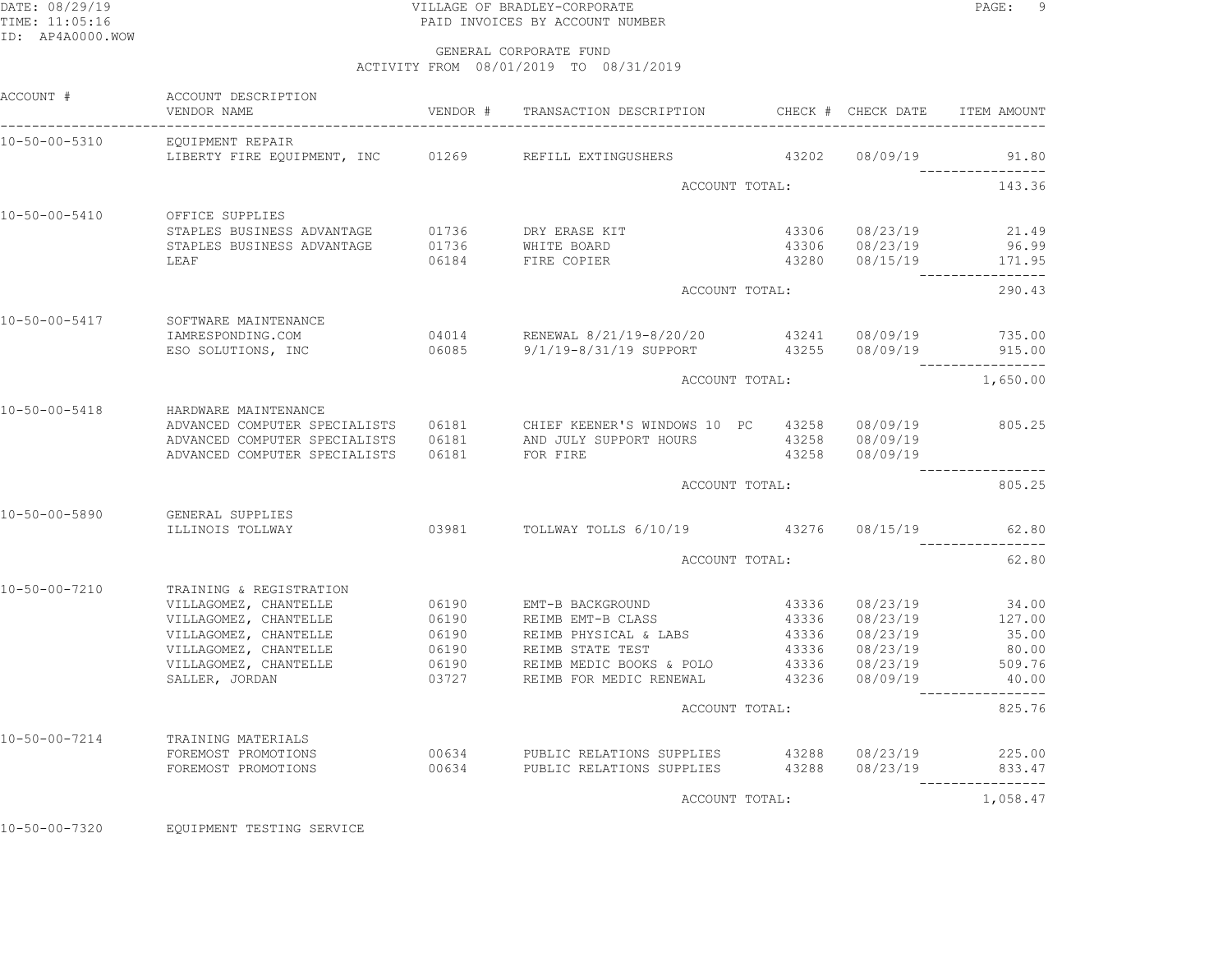## DATE: 08/29/19 PAGE: 9 PAGE: 9 TIME: 11:05:16 PAID INVOICES BY ACCOUNT NUMBER

 GENERAL CORPORATE FUNDACTIVITY FROM 08/01/2019 TO 08/31/2019

| ACCOUNT #             | ACCOUNT DESCRIPTION<br>VENDOR NAME               |                | VENDOR # TRANSACTION DESCRIPTION                                            |       | CHECK # CHECK DATE                                   | ITEM AMOUNT               |
|-----------------------|--------------------------------------------------|----------------|-----------------------------------------------------------------------------|-------|------------------------------------------------------|---------------------------|
| 10-50-00-5310         | EQUIPMENT REPAIR                                 |                |                                                                             |       |                                                      |                           |
|                       |                                                  |                | LIBERTY FIRE EQUIPMENT, INC 01269 REFILL EXTINGUSHERS 43202 08/09/19        |       |                                                      | 91.80<br>---------------- |
|                       |                                                  |                | ACCOUNT TOTAL:                                                              |       |                                                      | 143.36                    |
| $10 - 50 - 00 - 5410$ | OFFICE SUPPLIES                                  |                |                                                                             |       |                                                      |                           |
|                       | STAPLES BUSINESS ADVANTAGE 01736 DRY ERASE KIT   |                |                                                                             |       | 43306 08/23/19                                       | 21.49                     |
|                       | STAPLES BUSINESS ADVANTAGE                       |                | 01736 WHITE BOARD                                                           |       | 43306 08/23/19                                       | 96.99                     |
|                       | LEAF                                             |                | 06184 FIRE COPIER                                                           |       | 43280 08/15/19 171.95                                | ________________          |
|                       |                                                  |                | ACCOUNT TOTAL:                                                              |       |                                                      | 290.43                    |
| 10-50-00-5417         | SOFTWARE MAINTENANCE                             |                |                                                                             |       |                                                      |                           |
|                       | IAMRESPONDING.COM                                |                | 04014 RENEWAL 8/21/19-8/20/20 43241 08/09/19 735.00                         |       |                                                      |                           |
|                       |                                                  |                | ESO SOLUTIONS, INC 60085 9/1/19-8/31/19 SUPPORT 43255 08/09/19 915.00       |       |                                                      |                           |
|                       |                                                  |                | ACCOUNT TOTAL:                                                              |       |                                                      | 1,650.00                  |
| $10 - 50 - 00 - 5418$ | HARDWARE MAINTENANCE                             |                |                                                                             |       |                                                      |                           |
|                       | ADVANCED COMPUTER SPECIALISTS                    |                |                                                                             |       |                                                      |                           |
|                       | ADVANCED COMPUTER SPECIALISTS                    |                |                                                                             |       |                                                      |                           |
|                       | ADVANCED COMPUTER SPECIALISTS                    | 06181 FOR FIRE |                                                                             |       | 43258 08/09/19                                       |                           |
|                       |                                                  |                | ACCOUNT TOTAL:                                                              |       |                                                      | 805.25                    |
| $10 - 50 - 00 - 5890$ | GENERAL SUPPLIES                                 |                |                                                                             |       |                                                      |                           |
|                       | ILLINOIS TOLLWAY                                 |                | 03981 TOLLWAY TOLLS 6/10/19 43276 08/15/19                                  |       |                                                      | 62.80                     |
|                       |                                                  |                | ACCOUNT TOTAL:                                                              |       |                                                      | 62.80                     |
|                       |                                                  |                |                                                                             |       |                                                      |                           |
| $10 - 50 - 00 - 7210$ | TRAINING & REGISTRATION<br>VILLAGOMEZ, CHANTELLE | 06190          | EMT-B BACKGROUND                                                            |       | 43336 08/23/19                                       | 34.00                     |
|                       | VILLAGOMEZ, CHANTELLE 06190                      |                | REIMB EMT-B CLASS                                                           | 43336 |                                                      | 08/23/19 127.00           |
|                       | VILLAGOMEZ, CHANTELLE                            |                | REIMB PHYSICAL & LABS                                                       |       | 08/23/19                                             | 35.00                     |
|                       | VILLAGOMEZ, CHANTELLE                            | 06190<br>06190 | REIMB STATE TEST                                                            |       | 43336            08/23/19<br>43336          08/23/19 | 80.00                     |
|                       |                                                  |                | VILLAGOMEZ, CHANTELLE 606190 REIMB MEDIC BOOKS & POLO 43336 08/23/19 509.76 |       |                                                      |                           |
|                       | SALLER, JORDAN                                   | 03727          | REIMB FOR MEDIC RENEWAL                                                     |       | 43236 08/09/19                                       | 40.00                     |
|                       |                                                  |                | ACCOUNT TOTAL:                                                              |       |                                                      | 825.76                    |
| 10-50-00-7214         | TRAINING MATERIALS                               |                |                                                                             |       |                                                      |                           |
|                       | FOREMOST PROMOTIONS                              |                | 00634 PUBLIC RELATIONS SUPPLIES 43288 08/23/19 225.00                       |       |                                                      |                           |
|                       | FOREMOST PROMOTIONS                              |                | 00634 PUBLIC RELATIONS SUPPLIES 43288 08/23/19 833.47                       |       |                                                      |                           |
|                       |                                                  |                | ACCOUNT TOTAL:                                                              |       |                                                      | 1,058.47                  |

10-50-00-7320 EQUIPMENT TESTING SERVICE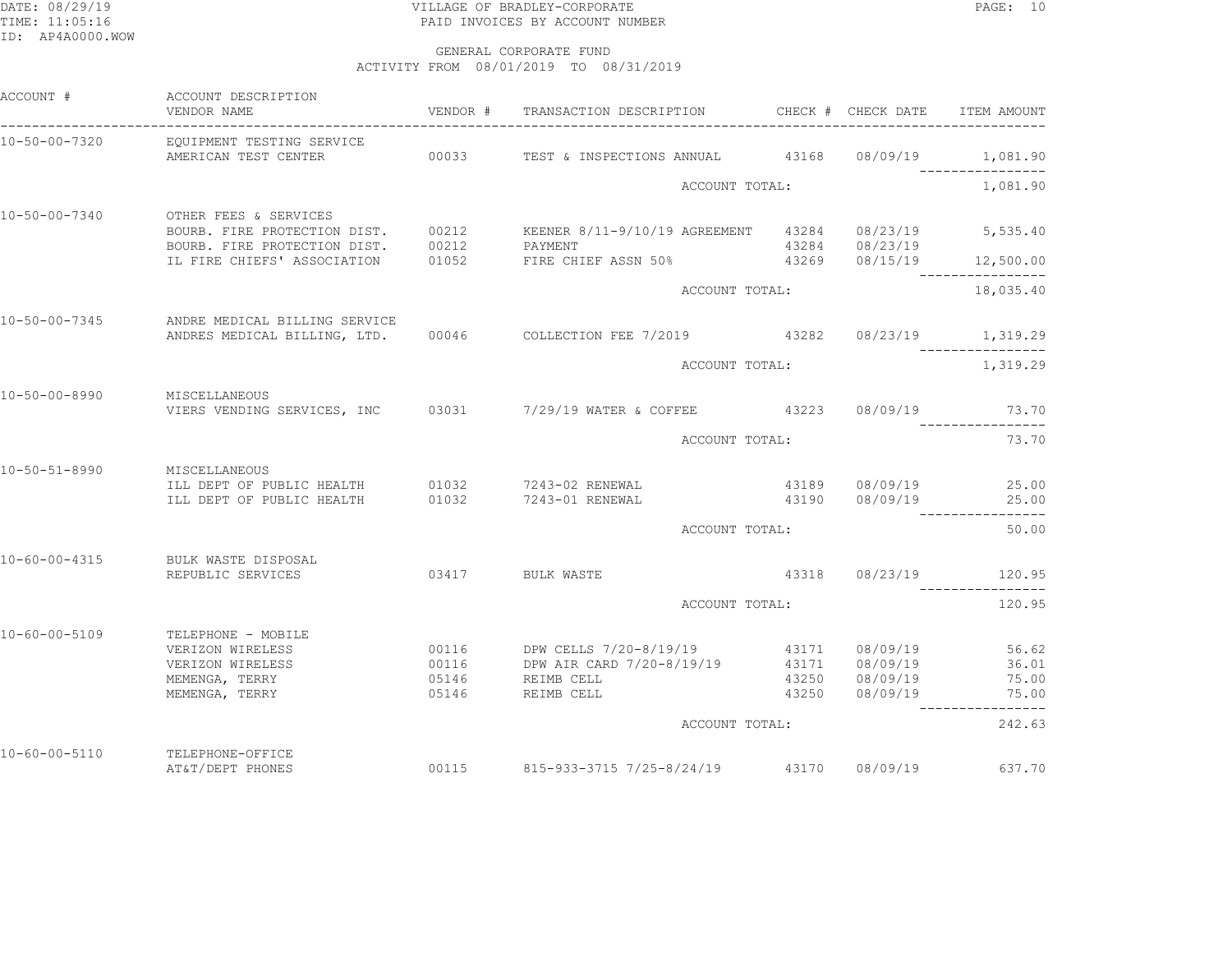## DATE: 08/29/19 PAGE: 10 TIME: 11:05:16 PAID INVOICES BY ACCOUNT NUMBER

| ACCOUNT #                   | ACCOUNT DESCRIPTION<br>VENDOR NAME                                                                              |       | VENDOR # TRANSACTION DESCRIPTION CHECK # CHECK DATE                                                                                                                                             |                |                                  | ITEM AMOUNT                                      |
|-----------------------------|-----------------------------------------------------------------------------------------------------------------|-------|-------------------------------------------------------------------------------------------------------------------------------------------------------------------------------------------------|----------------|----------------------------------|--------------------------------------------------|
| 10-50-00-7320               | EQUIPMENT TESTING SERVICE<br>AMERICAN TEST CENTER                                                               |       | 00033 TEST & INSPECTIONS ANNUAL 43168 08/09/19                                                                                                                                                  |                |                                  | 1,081.90                                         |
|                             |                                                                                                                 |       | ACCOUNT TOTAL:                                                                                                                                                                                  |                |                                  | 1,081.90                                         |
| 10-50-00-7340               | OTHER FEES & SERVICES                                                                                           |       | BOURB. FIRE PROTECTION DIST. 00212 KEENER 8/11-9/10/19 AGREEMENT 43284 08/23/19 5,535.40<br>BOURB. FIRE PROTECTION DIST. 00212 PAYMENT<br>IL FIRE CHIEFS' ASSOCIATION 01052 FIRE CHIEF ASSN 50% |                | 43284 08/23/19                   |                                                  |
|                             |                                                                                                                 |       |                                                                                                                                                                                                 |                |                                  | $43269$ $08/15/19$ 12,500.00<br>---------------- |
|                             |                                                                                                                 |       |                                                                                                                                                                                                 | ACCOUNT TOTAL: |                                  |                                                  |
| $10 - 50 - 00 - 7345$       | ANDRE MEDICAL BILLING SERVICE                                                                                   |       | ANDRES MEDICAL BILLING, LTD. 00046 COLLECTION FEE 7/2019 43282 08/23/19 1,319.29                                                                                                                |                |                                  |                                                  |
|                             |                                                                                                                 |       | ACCOUNT TOTAL:                                                                                                                                                                                  |                |                                  | 1,319.29                                         |
| 10-50-00-8990               | MISCELLANEOUS                                                                                                   |       | VIERS VENDING SERVICES, INC 03031 7/29/19 WATER & COFFEE 43223 08/09/19 73.70                                                                                                                   |                |                                  |                                                  |
|                             |                                                                                                                 |       | ACCOUNT TOTAL:                                                                                                                                                                                  |                |                                  | 73.70                                            |
| 10-50-51-8990 MISCELLANEOUS | ILL DEPT OF PUBLIC HEALTH 01032 7243-02 RENEWAL<br>ILL DEPT OF PUBLIC HEALTH 01032 7243-01 RENEWAL              |       |                                                                                                                                                                                                 |                | 43189 08/09/19<br>43190 08/09/19 | 25.00<br>25.00                                   |
|                             |                                                                                                                 |       | ACCOUNT TOTAL:                                                                                                                                                                                  |                |                                  | 50.00                                            |
| $10 - 60 - 00 - 4315$       | BULK WASTE DISPOSAL<br>REPUBLIC SERVICES                                                                        |       | 03417 BULK WASTE                                                                                                                                                                                |                | 43318  08/23/19  120.95          |                                                  |
|                             |                                                                                                                 |       | ACCOUNT TOTAL:                                                                                                                                                                                  |                |                                  | 120.95                                           |
| 10-60-00-5109               | TELEPHONE - MOBILE<br>VERIZON WIRELESS<br>VERIZON WIRELESS<br>MEMENGA, TERRY 05146 REIMB CELL<br>MEMENGA, TERRY | 05146 | REIMB CELL                                                                                                                                                                                      |                | 43250 08/09/19                   | 56.62<br>36.01<br>75.00<br>43250 08/09/19 75.00  |
|                             |                                                                                                                 |       | ACCOUNT TOTAL:                                                                                                                                                                                  |                |                                  | 242.63                                           |
| $10 - 60 - 00 - 5110$       | TELEPHONE-OFFICE<br>AT&T/DEPT PHONES                                                                            |       | 00115 815-933-3715 7/25-8/24/19 43170 08/09/19                                                                                                                                                  |                |                                  | 637.70                                           |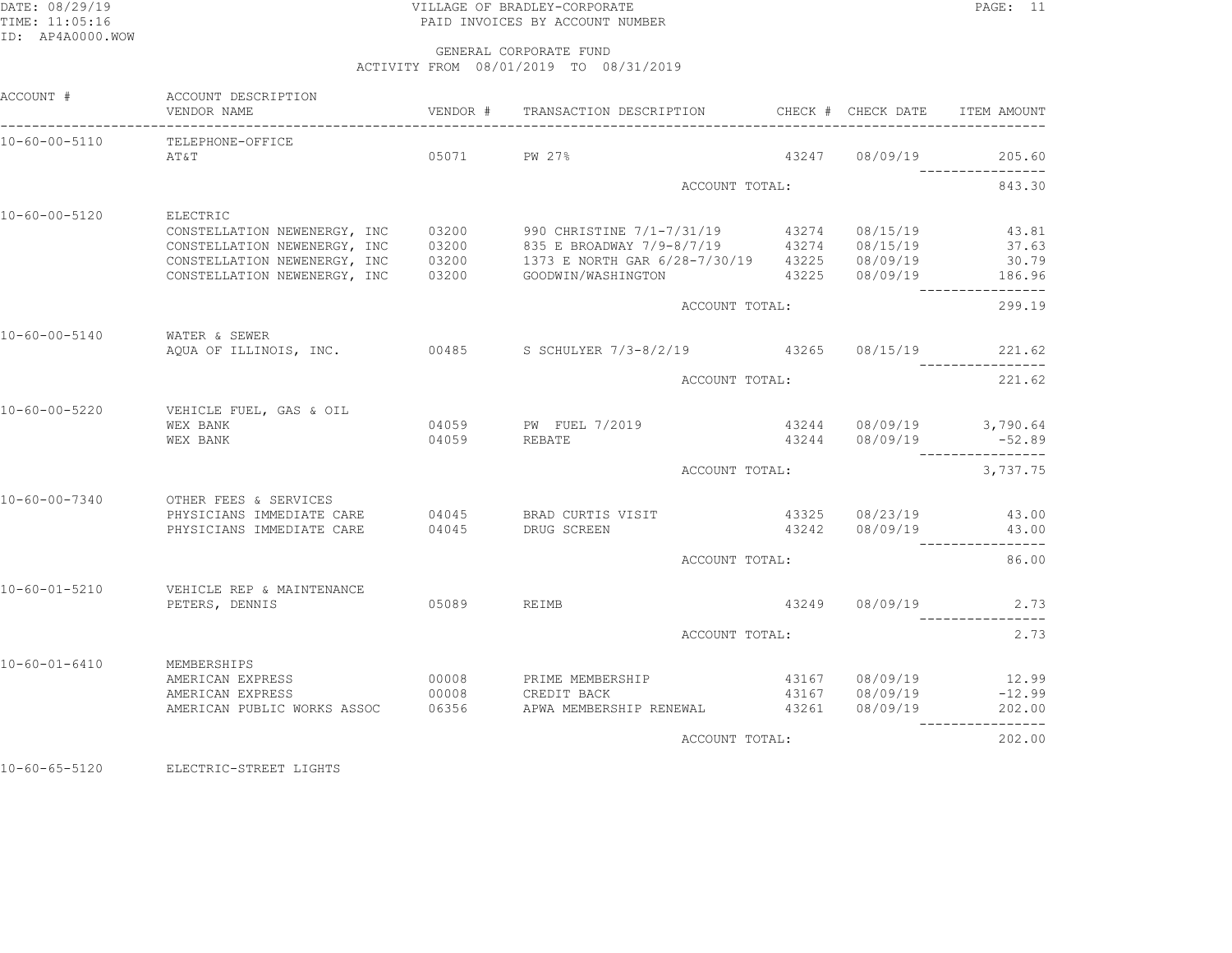## DATE: 08/29/19 VILLAGE OF BRADLEY-CORPORATE PAGE: 11TIME: 11:05:16 PAID INVOICES BY ACCOUNT NUMBER

#### GENERAL CORPORATE FUNDACTIVITY FROM 08/01/2019 TO 08/31/2019

| ACCOUNT #             | ACCOUNT DESCRIPTION<br>VENDOR NAME                 | VENDOR # | TRANSACTION DESCRIPTION                                           |                | CHECK # CHECK DATE                               | ITEM AMOUNT               |  |
|-----------------------|----------------------------------------------------|----------|-------------------------------------------------------------------|----------------|--------------------------------------------------|---------------------------|--|
| 10-60-00-5110         | TELEPHONE-OFFICE<br>AT&T                           | 05071    | PW 27%                                                            | 43247          | 08/09/19                                         | 205.60                    |  |
|                       |                                                    |          |                                                                   |                |                                                  |                           |  |
|                       |                                                    |          | ACCOUNT TOTAL:                                                    |                |                                                  | 843.30                    |  |
| $10 - 60 - 00 - 5120$ | ELECTRIC                                           |          |                                                                   |                |                                                  |                           |  |
|                       | CONSTELLATION NEWENERGY, INC                       | 03200    | 990 CHRISTINE 7/1-7/31/19 43274 08/15/19                          |                |                                                  | 43.81                     |  |
|                       | CONSTELLATION NEWENERGY, INC                       | 03200    | 835 E BROADWAY 7/9-8/7/19 43274 08/15/19                          |                |                                                  | 37.63                     |  |
|                       | CONSTELLATION NEWENERGY, INC                       | 03200    | 1373 E NORTH GAR 6/28-7/30/19                                     |                | 43225 08/09/19                                   | 30.79                     |  |
|                       | CONSTELLATION NEWENERGY, INC                       | 03200    | GOODWIN/WASHINGTON                                                |                | 43225 08/09/19                                   | 186.96                    |  |
|                       |                                                    |          | ACCOUNT TOTAL:                                                    |                |                                                  | 299.19                    |  |
| 10-60-00-5140         | WATER & SEWER                                      |          |                                                                   |                |                                                  |                           |  |
|                       |                                                    |          | AQUA OF ILLINOIS, INC. 60485 S SCHULYER 7/3-8/2/19 43265 08/15/19 |                |                                                  | 221.62                    |  |
|                       |                                                    |          |                                                                   | ACCOUNT TOTAL: |                                                  |                           |  |
| 10-60-00-5220         | VEHICLE FUEL, GAS & OIL                            |          |                                                                   |                |                                                  |                           |  |
|                       | WEX BANK                                           |          | 04059 PW FUEL 7/2019                                              |                |                                                  |                           |  |
|                       | WEX BANK                                           | 04059    | REBATE                                                            |                | 43244 08/09/19 3,790.64<br>43244 08/09/19 -52.89 |                           |  |
|                       |                                                    |          | ACCOUNT TOTAL:                                                    | 3,737.75       |                                                  |                           |  |
|                       |                                                    |          |                                                                   |                |                                                  |                           |  |
| 10-60-00-7340         | OTHER FEES & SERVICES<br>PHYSICIANS IMMEDIATE CARE |          | 04045 BRAD CURTIS VISIT                                           |                | 43325 08/23/19                                   | 43.00                     |  |
|                       | PHYSICIANS IMMEDIATE CARE                          | 04045    | DRUG SCREEN                                                       |                | 43242 08/09/19                                   | 43.00                     |  |
|                       |                                                    |          | ACCOUNT TOTAL:                                                    |                |                                                  | ----------------<br>86.00 |  |
|                       |                                                    |          |                                                                   |                |                                                  |                           |  |
| 10-60-01-5210         | VEHICLE REP & MAINTENANCE<br>PETERS, DENNIS        | 05089    | REIMB                                                             |                | 43249 08/09/19                                   | 2.73                      |  |
|                       |                                                    |          |                                                                   |                |                                                  | ------------              |  |
|                       |                                                    |          | ACCOUNT TOTAL:                                                    |                |                                                  | 2.73                      |  |
| $10 - 60 - 01 - 6410$ | MEMBERSHIPS                                        |          |                                                                   |                |                                                  |                           |  |
|                       | AMERICAN EXPRESS                                   | 00008    | PRIME MEMBERSHIP                                                  |                | 43167 08/09/19                                   | 12.99                     |  |
|                       | AMERICAN EXPRESS                                   | 00008    | CREDIT BACK                                                       |                | 43167 08/09/19                                   | $-12.99$                  |  |
|                       | AMERICAN PUBLIC WORKS ASSOC 06356                  |          | APWA MEMBERSHIP RENEWAL                                           | 43261          | 08/09/19                                         | 202.00<br>------------    |  |
|                       |                                                    |          | ACCOUNT TOTAL:                                                    |                |                                                  | 202.00                    |  |

10-60-65-5120 ELECTRIC-STREET LIGHTS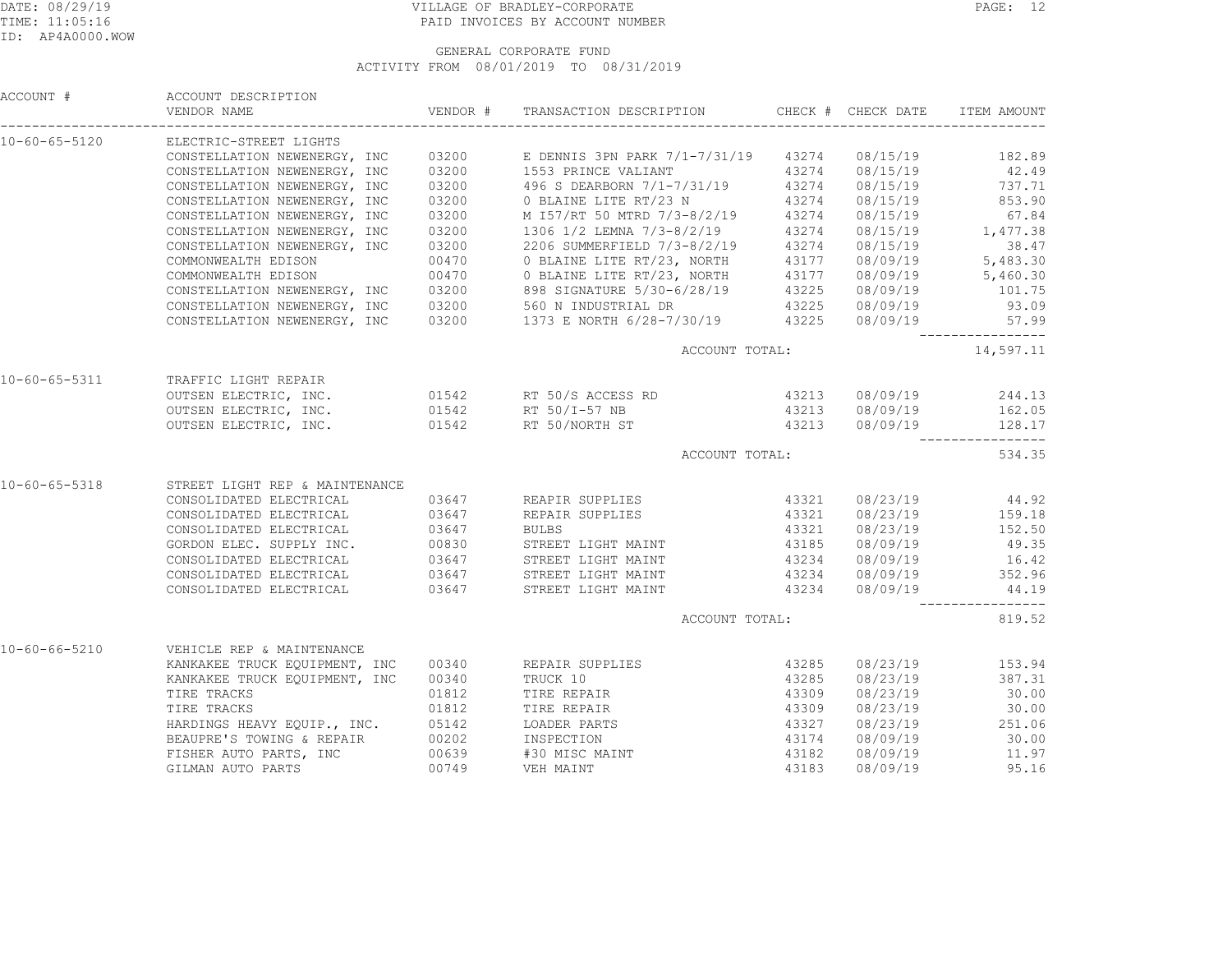## DATE: 08/29/19 PAGE: 12 TIME: 11:05:16 PAID INVOICES BY ACCOUNT NUMBER

|                       | ACCOUNT # ACCOUNT DESCRIPTION<br>VENDOR NAME                                                 |       |                                                                                                                                                                                                                                              |                |          |                                                |
|-----------------------|----------------------------------------------------------------------------------------------|-------|----------------------------------------------------------------------------------------------------------------------------------------------------------------------------------------------------------------------------------------------|----------------|----------|------------------------------------------------|
|                       | 10-60-65-5120 ELECTRIC-STREET LIGHTS                                                         |       |                                                                                                                                                                                                                                              |                |          |                                                |
|                       |                                                                                              |       | CONSTELLATION NEWENERGY, INC 03200 E DENNIS 3PN PARK 7/1-7/31/19 43274 08/15/19 182.89<br>CONSTELLATION NEWENERGY, INC 03200 1553 PRINCE VALIANT 43274 08/15/19 182.89<br>CONSTELLATION NEWENERGY, INC 03200 496 S DEARBORN 7/1-7/           |                |          |                                                |
|                       |                                                                                              |       |                                                                                                                                                                                                                                              |                |          |                                                |
|                       |                                                                                              |       |                                                                                                                                                                                                                                              |                |          |                                                |
|                       | CONSTELLATION NEWENERGY, INC                                                                 | 03200 | 0 BLAINE LITE RT/23 N 43274 08/15/19<br>M I57/RT 50 MTRD 7/3-8/2/19 43274 08/15/19                                                                                                                                                           |                |          | 853.90                                         |
|                       | CONSTELLATION NEWENERGY, INC                                                                 | 03200 |                                                                                                                                                                                                                                              |                |          | 67.84                                          |
|                       |                                                                                              |       | CONSTELLATION NEWENERGY, INC 03200 1306 1/2 LEMNA 7/3-8/2/19 43274 08/15/19<br>CONSTELLATION NEWENERGY, INC 03200 2206 SUMMERFIELD 7/3-8/2/19 43274 08/15/19                                                                                 |                |          | $08/15/19$ 1, 477.38                           |
|                       |                                                                                              |       |                                                                                                                                                                                                                                              |                |          | 38.47                                          |
|                       |                                                                                              |       |                                                                                                                                                                                                                                              |                |          |                                                |
|                       |                                                                                              |       |                                                                                                                                                                                                                                              |                |          |                                                |
|                       |                                                                                              |       |                                                                                                                                                                                                                                              |                |          |                                                |
|                       |                                                                                              |       | COMMONWEALTH EDISON 00470 0 BLAINE LITE RT/23, NORTH 43274 08/15/19 5, 483.30<br>COMMONWEALTH EDISON 00470 0 BLAINE LITE RT/23, NORTH 43177 08/09/19 5, 483.30<br>COMMONWEALTH EDISON 00470 0 BLAINE LITE RT/23, NORTH 43177 08/09           |                |          |                                                |
|                       |                                                                                              |       |                                                                                                                                                                                                                                              |                |          | ----------------                               |
|                       |                                                                                              |       |                                                                                                                                                                                                                                              |                |          | ACCOUNT TOTAL: 14,597.11                       |
|                       | 10-60-65-5311 TRAFFIC LIGHT REPAIR                                                           |       |                                                                                                                                                                                                                                              |                |          |                                                |
|                       |                                                                                              |       |                                                                                                                                                                                                                                              |                |          | 43213 08/09/19 244.13<br>43213 08/09/19 162.05 |
|                       |                                                                                              |       |                                                                                                                                                                                                                                              |                |          |                                                |
|                       |                                                                                              |       | OUTSEN ELECTRIC, INC. 01542 RT 50/NORTH ST 43213 08/09/19 128.17                                                                                                                                                                             |                |          | _________________                              |
|                       |                                                                                              |       | ACCOUNT TOTAL:                                                                                                                                                                                                                               |                |          | 534.35                                         |
| 10-60-65-5318         | STREET LIGHT REP & MAINTENANCE                                                               |       |                                                                                                                                                                                                                                              |                |          |                                                |
|                       |                                                                                              |       | CONSOLIDATED ELECTRICAL $03647$ REAPIR SUPPLIES 43321 08/23/19 44.92                                                                                                                                                                         |                |          |                                                |
|                       |                                                                                              |       |                                                                                                                                                                                                                                              |                |          |                                                |
|                       |                                                                                              |       |                                                                                                                                                                                                                                              |                |          |                                                |
|                       |                                                                                              |       |                                                                                                                                                                                                                                              |                |          |                                                |
|                       |                                                                                              |       |                                                                                                                                                                                                                                              |                |          |                                                |
|                       |                                                                                              |       | CONSOLIDATED ELECTRICAL 03647<br>CONSOLIDATED ELECTRICAL 03647<br>CONSOLIDATED ELECTRICAL 03647<br>CONSOLIDATED ELECTRICAL 03647<br>CONSOLIDATED ELECTRICAL 03647<br>CONSOLIDATED ELECTRICAL 03647<br>CONSOLIDATED ELECTRICAL 03647<br>CONSO |                |          |                                                |
|                       |                                                                                              |       | CONSOLIDATED ELECTRICAL $0.3647$ STREET LIGHT MAINT 43234 08/09/19 44.19                                                                                                                                                                     |                |          | _________________                              |
|                       |                                                                                              |       | ACCOUNT TOTAL:                                                                                                                                                                                                                               |                |          | 819.52                                         |
| $10 - 60 - 66 - 5210$ | VEHICLE REP & MAINTENANCE                                                                    |       |                                                                                                                                                                                                                                              |                |          |                                                |
|                       |                                                                                              |       | KANKAKEE TRUCK EQUIPMENT, INC 00340 REPAIR SUPPLIES 43285                                                                                                                                                                                    |                |          | 08/23/19 153.94                                |
|                       | KANKAKEE TRUCK EQUIPMENT, INC 00340                                                          |       |                                                                                                                                                                                                                                              |                |          | 08/23/19 387.31                                |
|                       | TIRE TRACKS TIRE                                                                             | 01812 | TRUCK 10<br>TIRE REPAIR                                                                                                                                                                                                                      | 43285<br>43309 | 08/23/19 | 30.00                                          |
|                       | TIRE TRACKS                                                                                  |       | 01812 TIRE REPAIR 43309                                                                                                                                                                                                                      |                | 08/23/19 | 30.00                                          |
|                       |                                                                                              |       |                                                                                                                                                                                                                                              |                |          |                                                |
|                       | HARDINGS HEAVY EQUIP., INC. 05142 LOADER PARTS<br>BEAUPRE'S TOWING & REPAIR 00202 INSPECTION |       |                                                                                                                                                                                                                                              | 43327<br>43174 |          | 08/23/19 251.06<br>08/09/19 30.00              |
|                       |                                                                                              |       | FISHER AUTO PARTS, INC $00639$ #30 MISC MAINT 43182<br>GILMAN AUTO PARTS 00749 VEH MAINT 43183                                                                                                                                               |                |          | 08/09/19 11.97                                 |
|                       |                                                                                              |       |                                                                                                                                                                                                                                              |                | 08/09/19 | 95.16                                          |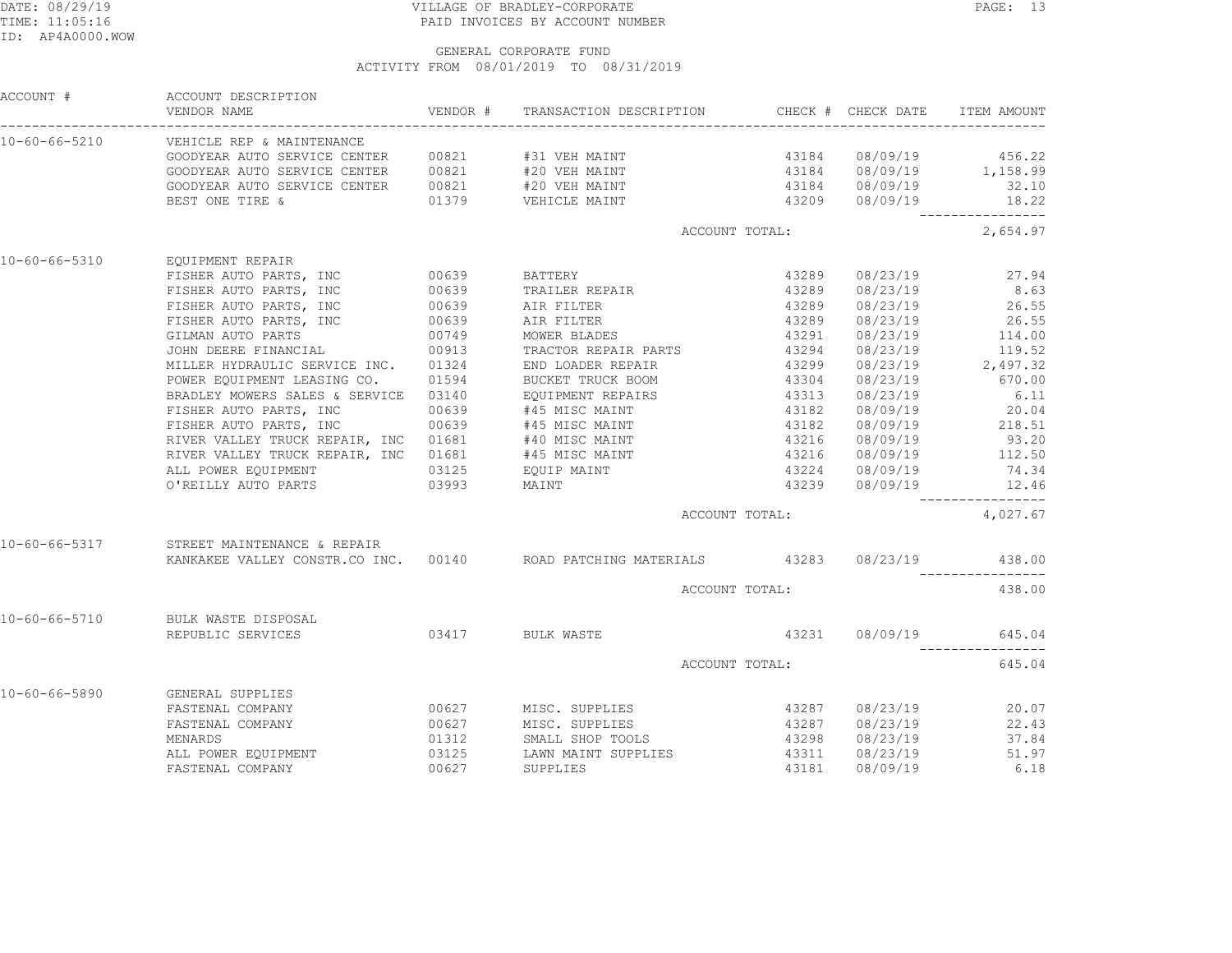## DATE: 08/29/19 PAGE: 13 TIME: 11:05:16 PAID INVOICES BY ACCOUNT NUMBER

|               | ACCOUNT # ACCOUNT DESCRIPTION<br>VENDOR NAME                                                                                                                                                                                                                                                                                                                                                                                      | VENDOR # TRANSACTION DESCRIPTION CHECK # CHECK DATE ITEM AMOUNT                                                                         |                   |                      |                                                         |
|---------------|-----------------------------------------------------------------------------------------------------------------------------------------------------------------------------------------------------------------------------------------------------------------------------------------------------------------------------------------------------------------------------------------------------------------------------------|-----------------------------------------------------------------------------------------------------------------------------------------|-------------------|----------------------|---------------------------------------------------------|
|               | 10-60-66-5210 VEHICLE REP & MAINTENANCE                                                                                                                                                                                                                                                                                                                                                                                           |                                                                                                                                         |                   |                      |                                                         |
|               |                                                                                                                                                                                                                                                                                                                                                                                                                                   |                                                                                                                                         |                   |                      |                                                         |
|               |                                                                                                                                                                                                                                                                                                                                                                                                                                   |                                                                                                                                         |                   |                      |                                                         |
|               | $\texttt{GOODYEAR AUTO SERVICE CENTER} \begin{array}{c} 00821 \qquad \quad \texttt{\#20 VEH MAINT} \\ 01379 \qquad \quad \texttt{\#20 VEH MAINT} \\ \texttt{\#20 VEH IATNT} \qquad \qquad 43184 \qquad \quad 08/09/19 \\ \texttt{\#20 VEHICLE MAINT} \qquad \quad \quad 43209 \qquad \quad 08/09/19 \\ \texttt{\#21 VRF} \qquad \quad 08/09/19 \qquad \qquad 18.22 \\ \texttt{\#22 VRF} \qquad \quad 08/09/19 \qquad \quad \quad$ |                                                                                                                                         |                   |                      |                                                         |
|               |                                                                                                                                                                                                                                                                                                                                                                                                                                   |                                                                                                                                         |                   |                      | 18.22<br>_________________                              |
|               |                                                                                                                                                                                                                                                                                                                                                                                                                                   |                                                                                                                                         | ACCOUNT TOTAL:    |                      | 2,654.97                                                |
| 10-60-66-5310 | EQUIPMENT REPAIR                                                                                                                                                                                                                                                                                                                                                                                                                  |                                                                                                                                         |                   |                      |                                                         |
|               | EQUIPMENT REPAIR<br>FISHER AUTO PARTS, INC<br>FISHER AUTO PARTS, INC<br>FISHER AUTO PARTS, INC<br>FISHER AUTO PARTS, INC<br>FISHER AUTO PARTS, INC<br>GILMAN AUTO PARTS, INC<br>CO639<br>AIR FILTER<br>GILMAN AUTO PARTS<br>JOHN DEERE FINANCIAL<br>                                                                                                                                                                              |                                                                                                                                         | $4320$<br>$43289$ | 08/23/19             | 27.94                                                   |
|               |                                                                                                                                                                                                                                                                                                                                                                                                                                   |                                                                                                                                         |                   | 08/23/19             | 8.63                                                    |
|               |                                                                                                                                                                                                                                                                                                                                                                                                                                   |                                                                                                                                         | 43289             |                      | 08/23/19 26.55                                          |
|               |                                                                                                                                                                                                                                                                                                                                                                                                                                   |                                                                                                                                         | 43289             |                      | 08/23/19 26.55<br>08/23/19 114.00                       |
|               |                                                                                                                                                                                                                                                                                                                                                                                                                                   |                                                                                                                                         | 43291             |                      |                                                         |
|               | JOHN DEERE FINANCIAL 00913 TRACTOR REPAIR PARTS 43294<br>MILLER HYDRAULIC SERVICE INC. 01324 END LOADER REPAIR 43299<br>POWER EQUIPMENT LEASING CO. 01594 BUCKET TRUCK BOOM 43304                                                                                                                                                                                                                                                 |                                                                                                                                         |                   |                      | 08/23/19 119.52<br>08/23/19 2,497.32<br>08/23/19 670.00 |
|               |                                                                                                                                                                                                                                                                                                                                                                                                                                   |                                                                                                                                         |                   |                      |                                                         |
|               |                                                                                                                                                                                                                                                                                                                                                                                                                                   |                                                                                                                                         |                   |                      |                                                         |
|               | BRADLEY MOWERS SALES & SERVICE 03140 EQUIPMENT REPAIRS 43313<br>FISHER AUTO PARTS, INC 00639 #45 MISC MAINT 43182                                                                                                                                                                                                                                                                                                                 |                                                                                                                                         |                   | 08/23/19             |                                                         |
|               |                                                                                                                                                                                                                                                                                                                                                                                                                                   |                                                                                                                                         |                   | 08/09/19             | $6.11$<br>$20.04$                                       |
|               | FISHER AUTO PARTS, INC $00639$ #45 MISC MAINT<br>FISHER AUTO PARTS, INC 00639 #45 MISC MAINT                                                                                                                                                                                                                                                                                                                                      |                                                                                                                                         | 43182             |                      | $08/09/19$ 218.51                                       |
|               |                                                                                                                                                                                                                                                                                                                                                                                                                                   |                                                                                                                                         |                   |                      |                                                         |
|               |                                                                                                                                                                                                                                                                                                                                                                                                                                   |                                                                                                                                         |                   |                      |                                                         |
|               |                                                                                                                                                                                                                                                                                                                                                                                                                                   |                                                                                                                                         |                   |                      |                                                         |
|               | RIVER VALLEY TRUCK REPAIR, INC 01681 #40 MISC MAINT 43216 08/09/19 93.20<br>RIVER VALLEY TRUCK REPAIR, INC 01681 #45 MISC MAINT 43216 08/09/19 112.50<br>ALL POWER EQUIPMENT 03125 EQUIP MAINT 43224 08/09/19 74.34<br>O'REILLY AUTO                                                                                                                                                                                              |                                                                                                                                         |                   |                      |                                                         |
|               |                                                                                                                                                                                                                                                                                                                                                                                                                                   |                                                                                                                                         | ACCOUNT TOTAL:    |                      | 4,027.67                                                |
|               | 10-60-66-5317 STREET MAINTENANCE & REPAIR                                                                                                                                                                                                                                                                                                                                                                                         |                                                                                                                                         |                   |                      |                                                         |
|               | RANKAKEE VALLEY CONSTR.CO INC. 00140 ROAD PATCHING MATERIALS 43283 08/23/19 438.00                                                                                                                                                                                                                                                                                                                                                |                                                                                                                                         |                   |                      |                                                         |
|               |                                                                                                                                                                                                                                                                                                                                                                                                                                   |                                                                                                                                         | ACCOUNT TOTAL:    |                      | 438.00                                                  |
|               | 10-60-66-5710 BULK WASTE DISPOSAL                                                                                                                                                                                                                                                                                                                                                                                                 |                                                                                                                                         |                   |                      |                                                         |
|               | REPUBLIC SERVICES 03417 BULK WASTE                                                                                                                                                                                                                                                                                                                                                                                                |                                                                                                                                         |                   | 43231 08/09/19       | 645.04                                                  |
|               |                                                                                                                                                                                                                                                                                                                                                                                                                                   | ACCOUNT TOTAL:                                                                                                                          |                   |                      | 645.04                                                  |
| 10-60-66-5890 | GENERAL SUPPLIES                                                                                                                                                                                                                                                                                                                                                                                                                  |                                                                                                                                         |                   |                      |                                                         |
|               | FASTENAL COMPANY                                                                                                                                                                                                                                                                                                                                                                                                                  | 00627 MISC. SUPPLIES 43287                                                                                                              |                   | 08/23/19             | 20.07                                                   |
|               | FASTENAL COMPANY                                                                                                                                                                                                                                                                                                                                                                                                                  | 00627 MISC. SUPPLIES<br>00627 MISC. SUPPLIES<br>01312 SMALL SHOP TOOLS 43298<br>03125 LAWN MAINT SUPPLIES 43311<br>00627 SUPPLIES 43181 |                   | 08/23/19             | 22.43                                                   |
|               | MENARDS                                                                                                                                                                                                                                                                                                                                                                                                                           |                                                                                                                                         |                   | 08/23/19<br>08/23/19 | 37.84                                                   |
|               | ALL POWER EQUIPMENT                                                                                                                                                                                                                                                                                                                                                                                                               |                                                                                                                                         |                   |                      | 51.97                                                   |
|               | FASTENAL COMPANY                                                                                                                                                                                                                                                                                                                                                                                                                  |                                                                                                                                         |                   | 08/09/19             | 6.18                                                    |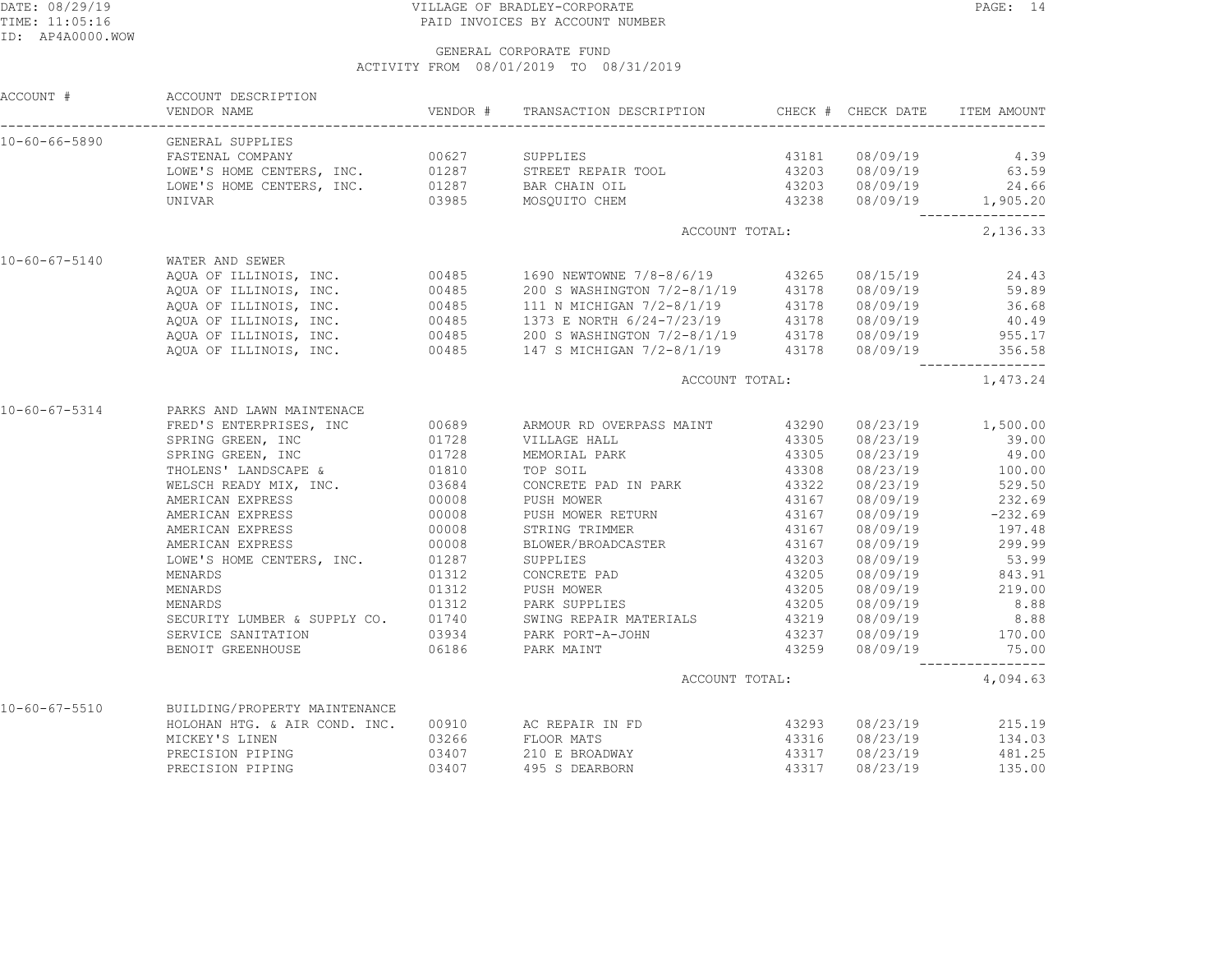## DATE: 08/29/19 PAGE: 14 TIME: 11:05:16 PAID INVOICES BY ACCOUNT NUMBER

| ACCOUNT #             | ACCOUNT DESCRIPTION<br>VENDOR NAME                                                                                                                                                                                                 |       | VENDOR # TRANSACTION DESCRIPTION CHECK # CHECK DATE ITEM AMOUNT                                                                                                                                                                      |                |                                                |
|-----------------------|------------------------------------------------------------------------------------------------------------------------------------------------------------------------------------------------------------------------------------|-------|--------------------------------------------------------------------------------------------------------------------------------------------------------------------------------------------------------------------------------------|----------------|------------------------------------------------|
|                       | 10-60-66-5890 GENERAL SUPPLIES                                                                                                                                                                                                     |       |                                                                                                                                                                                                                                      |                |                                                |
|                       | FASTENAL COMPANY                                                                                                                                                                                                                   |       |                                                                                                                                                                                                                                      |                |                                                |
|                       |                                                                                                                                                                                                                                    |       |                                                                                                                                                                                                                                      |                |                                                |
|                       |                                                                                                                                                                                                                                    |       |                                                                                                                                                                                                                                      |                |                                                |
|                       |                                                                                                                                                                                                                                    |       |                                                                                                                                                                                                                                      |                |                                                |
|                       |                                                                                                                                                                                                                                    |       | ACCOUNT TOTAL:                                                                                                                                                                                                                       |                | 2, 136.33                                      |
| $10 - 60 - 67 - 5140$ | WATER AND SEWER                                                                                                                                                                                                                    |       |                                                                                                                                                                                                                                      |                |                                                |
|                       |                                                                                                                                                                                                                                    |       |                                                                                                                                                                                                                                      |                |                                                |
|                       |                                                                                                                                                                                                                                    |       |                                                                                                                                                                                                                                      |                |                                                |
|                       |                                                                                                                                                                                                                                    |       |                                                                                                                                                                                                                                      |                |                                                |
|                       |                                                                                                                                                                                                                                    |       |                                                                                                                                                                                                                                      |                |                                                |
|                       |                                                                                                                                                                                                                                    |       |                                                                                                                                                                                                                                      |                |                                                |
|                       | AQUA OF ILLINOIS, INC. 00485 1690 NEWTOWNE 7/8-8/6/19 43265 08/15/19 24.43<br>AQUA OF ILLINOIS, INC. 00485 200 SWASHINGTON 7/2-8/1/19 43178 08/09/19 59.89<br>AQUA OF ILLINOIS, INC. 00485 111 N MICHIGAN 7/2-8/1/19 43178 08/09/1 |       |                                                                                                                                                                                                                                      |                |                                                |
|                       |                                                                                                                                                                                                                                    |       | ACCOUNT TOTAL:                                                                                                                                                                                                                       |                | _________________<br>1,473.24                  |
| $10 - 60 - 67 - 5314$ | PARKS AND LAWN MAINTENACE                                                                                                                                                                                                          |       |                                                                                                                                                                                                                                      |                |                                                |
|                       |                                                                                                                                                                                                                                    |       | FARKS AND LAWN MAINTENACE<br>FRED'S ENTERPRISES, INC 00689 ARMOUR RD OVERPASS MAINT 43290 08/23/19 1,500.00<br>SPRING GREEN, INC 01728 VILLAGE HALL 43305 08/23/19 39.00<br>SPRING GREEN, INC 01728 MEMORIAL PARK 43305 08/23/19 49. |                |                                                |
|                       |                                                                                                                                                                                                                                    |       |                                                                                                                                                                                                                                      |                |                                                |
|                       |                                                                                                                                                                                                                                    |       |                                                                                                                                                                                                                                      |                |                                                |
|                       |                                                                                                                                                                                                                                    |       |                                                                                                                                                                                                                                      |                |                                                |
|                       | THOLENS LANDSCAFE & CONSIST<br>WELSCH READY MIX, INC. 03684<br>AMERICAN EXPRESS 00008<br>AMERICAN EXPRESS 00008<br>AMERICAN EXPRESS 00008<br>AMERICAN EXPRESS 00008                                                                |       | CONCRETE PAD IN PARK<br>PUSH MOWER 13167                                                                                                                                                                                             |                |                                                |
|                       |                                                                                                                                                                                                                                    |       |                                                                                                                                                                                                                                      |                | 08/23/19 529.50<br>08/09/19 232.69             |
|                       |                                                                                                                                                                                                                                    |       | PUSH MOWER RETURN 43167                                                                                                                                                                                                              |                | 08/09/19 -232.69                               |
|                       |                                                                                                                                                                                                                                    |       |                                                                                                                                                                                                                                      |                |                                                |
|                       |                                                                                                                                                                                                                                    |       | STRING TRIMMER 13167<br>BLOWER/BROADCASTER 13167                                                                                                                                                                                     |                | 08/09/19 197.48<br>08/09/19 299.99             |
|                       | LOWE'S HOME CENTERS, INC. 01287                                                                                                                                                                                                    |       | SUPPLIES                                                                                                                                                                                                                             | 43203          | 08/09/19 53.99                                 |
|                       | MENARDS                                                                                                                                                                                                                            | 01312 | CONCRETE PAD                                                                                                                                                                                                                         |                |                                                |
|                       |                                                                                                                                                                                                                                    | 01312 |                                                                                                                                                                                                                                      | 43205<br>43205 | 08/09/19 843.91<br>08/09/19 219.00             |
|                       | MENARDS                                                                                                                                                                                                                            |       | CONCRETE INDER<br>PUSH MOWER                                                                                                                                                                                                         |                |                                                |
|                       |                                                                                                                                                                                                                                    |       | MENARDS<br>MENARDS 01312 PARK SUPPLIES 43205 08/09/19 8.88<br>SECURITY LUMBER & SUPPLY CO. 01740 SWING REPAIR MATERIALS 43219 08/09/19 8.88<br>SERVICE SANITATION 03934 PARK PORT-A-JOHN 43237 08/09/19 170.00                       |                |                                                |
|                       |                                                                                                                                                                                                                                    |       |                                                                                                                                                                                                                                      |                |                                                |
|                       |                                                                                                                                                                                                                                    |       |                                                                                                                                                                                                                                      |                |                                                |
|                       | BENOIT GREENHOUSE 66186 06186 PARK MAINT                                                                                                                                                                                           |       |                                                                                                                                                                                                                                      | 43259          | 08/09/19 75.00                                 |
|                       |                                                                                                                                                                                                                                    |       | ACCOUNT TOTAL:                                                                                                                                                                                                                       |                | 4,094.63                                       |
|                       | 10-60-67-5510 BUILDING/PROPERTY MAINTENANCE                                                                                                                                                                                        |       |                                                                                                                                                                                                                                      |                |                                                |
|                       |                                                                                                                                                                                                                                    |       | HOLOHAN HTG. & AIR COND. INC. 00910 AC REPAIR IN FD                                                                                                                                                                                  |                | 43293 08/23/19 215.19                          |
|                       |                                                                                                                                                                                                                                    |       |                                                                                                                                                                                                                                      |                | 43316 08/23/19 134.03<br>43317 08/23/19 481.25 |
|                       |                                                                                                                                                                                                                                    |       |                                                                                                                                                                                                                                      |                |                                                |
|                       | PRECISION PIPING                                                                                                                                                                                                                   | 03407 | 43317<br>495 S DEARBORN                                                                                                                                                                                                              |                | 08/23/19 135.00                                |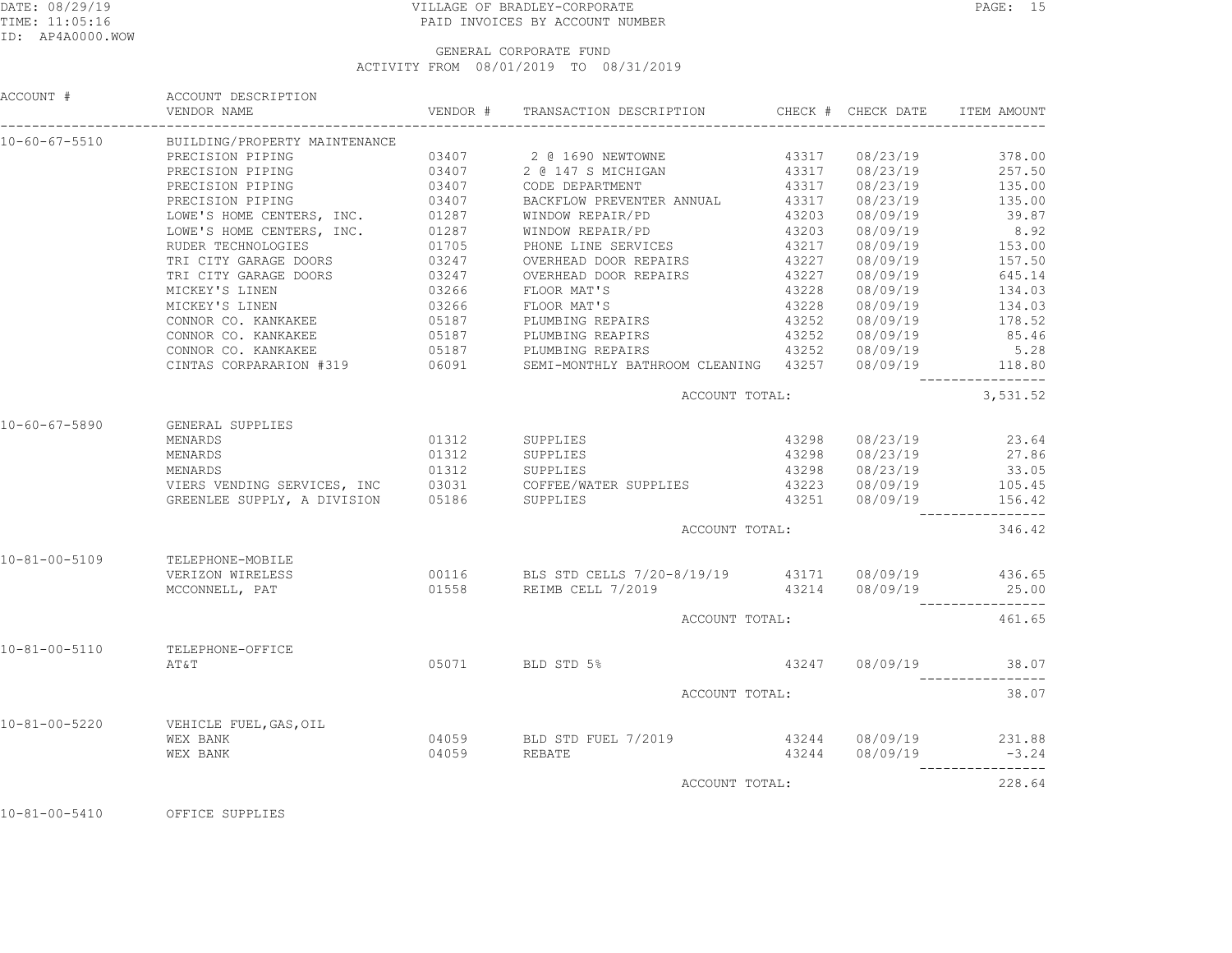## DATE: 08/29/19 VILLAGE OF BRADLEY-CORPORATE PAGE: 15TIME: 11:05:16 PAID INVOICES BY ACCOUNT NUMBER

#### GENERAL CORPORATE FUNDACTIVITY FROM 08/01/2019 TO 08/31/2019

|                       | ACCOUNT # ACCOUNT DESCRIPTION               |                                                                                                                                                                                                                                                                                                                                                                                                    |  |                               |
|-----------------------|---------------------------------------------|----------------------------------------------------------------------------------------------------------------------------------------------------------------------------------------------------------------------------------------------------------------------------------------------------------------------------------------------------------------------------------------------------|--|-------------------------------|
|                       | 10-60-67-5510 BUILDING/PROPERTY MAINTENANCE |                                                                                                                                                                                                                                                                                                                                                                                                    |  |                               |
|                       |                                             | PRECISION PIPING $03407$<br>PRECISION PIPING $03407$<br>PRECISION PIPING $03407$<br>PRECISION PIPING $03407$<br>PRECISION PIPING $03407$<br>CODE DEPARTMENT $03407$<br>CODE DEPARTMENT $03407$<br>PRECISION PIPING $03407$<br>PRECISION PIPING                                                                                                                                                     |  |                               |
|                       |                                             |                                                                                                                                                                                                                                                                                                                                                                                                    |  |                               |
|                       |                                             |                                                                                                                                                                                                                                                                                                                                                                                                    |  |                               |
|                       |                                             |                                                                                                                                                                                                                                                                                                                                                                                                    |  |                               |
|                       |                                             |                                                                                                                                                                                                                                                                                                                                                                                                    |  |                               |
|                       |                                             |                                                                                                                                                                                                                                                                                                                                                                                                    |  |                               |
|                       |                                             |                                                                                                                                                                                                                                                                                                                                                                                                    |  |                               |
|                       |                                             |                                                                                                                                                                                                                                                                                                                                                                                                    |  |                               |
|                       |                                             |                                                                                                                                                                                                                                                                                                                                                                                                    |  |                               |
|                       |                                             |                                                                                                                                                                                                                                                                                                                                                                                                    |  |                               |
|                       |                                             |                                                                                                                                                                                                                                                                                                                                                                                                    |  |                               |
|                       |                                             |                                                                                                                                                                                                                                                                                                                                                                                                    |  |                               |
|                       |                                             |                                                                                                                                                                                                                                                                                                                                                                                                    |  |                               |
|                       |                                             |                                                                                                                                                                                                                                                                                                                                                                                                    |  |                               |
|                       |                                             | $\begin{tabular}{l c c c c c} \multicolumn{1}{c}{\textbf{PRECISION PIPING}} & 03407 & \textbf{BACKFLOW PREVENTER ANNUAL} & 43317 & 08/23/19 & 135.00 \\ \multicolumn{1}{c}{\textbf{LOWIS HOME CENTERS, INC.}} & 01287 & \textbf{WINDOW REPARIP/PD} & 43203 & 08/09/19 & 39.87 \\ \multicolumn{1}{c}{\textbf{LOWIS}} & 080/09/19 & 8.92 \\ \multicolumn{1}{c}{\textbf{RONE LINES ENYICES}} & 01705$ |  |                               |
|                       |                                             | ACCOUNT TOTAL:                                                                                                                                                                                                                                                                                                                                                                                     |  | _________________<br>3,531.52 |
| $10 - 60 - 67 - 5890$ | <b>GENERAL SUPPLIES</b>                     |                                                                                                                                                                                                                                                                                                                                                                                                    |  |                               |
|                       | MENARDS                                     | 01312 SUPPLIES                                                                                                                                                                                                                                                                                                                                                                                     |  | 43298 08/23/19 23.64          |
|                       |                                             |                                                                                                                                                                                                                                                                                                                                                                                                    |  |                               |
|                       |                                             |                                                                                                                                                                                                                                                                                                                                                                                                    |  |                               |
|                       |                                             |                                                                                                                                                                                                                                                                                                                                                                                                    |  |                               |
|                       |                                             | NENARDS 01312 SUPPLIES 43298 08/23/19 27.86<br>MENARDS 01312 SUPPLIES 43298 08/23/19 33.05<br>VIERS VENDING SERVICES, INC 03031 COFFEE/WATER SUPPLIES 43223 08/09/19 105.45<br>GREENLEE SUPPLY, A DIVISION 05186 SUPPLIES 43251 08/0                                                                                                                                                               |  |                               |
|                       |                                             | ACCOUNT TOTAL:                                                                                                                                                                                                                                                                                                                                                                                     |  | __________________<br>346.42  |
|                       | 10-81-00-5109 TELEPHONE-MOBILE              |                                                                                                                                                                                                                                                                                                                                                                                                    |  |                               |
|                       | VERIZON WIRELESS                            | 00116 BLS STD CELLS 7/20-8/19/19 43171 08/09/19 436.65                                                                                                                                                                                                                                                                                                                                             |  |                               |
|                       |                                             | MCCONNELL, PAT 65.00                                                                                                                                                                                                                                                                                                                                                                               |  |                               |
|                       |                                             | ACCOUNT TOTAL:                                                                                                                                                                                                                                                                                                                                                                                     |  | _________________<br>461.65   |
|                       |                                             |                                                                                                                                                                                                                                                                                                                                                                                                    |  |                               |
| $10 - 81 - 00 - 5110$ | TELEPHONE-OFFICE<br>AT&T                    | 05071 BLD STD 5%                                                                                                                                                                                                                                                                                                                                                                                   |  | 43247 08/09/19 38.07          |
|                       |                                             | ACCOUNT TOTAL:                                                                                                                                                                                                                                                                                                                                                                                     |  | -----------------<br>38.07    |
|                       |                                             |                                                                                                                                                                                                                                                                                                                                                                                                    |  |                               |
|                       | 10-81-00-5220 VEHICLE FUEL, GAS, OIL        |                                                                                                                                                                                                                                                                                                                                                                                                    |  |                               |
|                       |                                             |                                                                                                                                                                                                                                                                                                                                                                                                    |  |                               |
|                       | רבט בערבט GAS, OIL<br>WEX BANK<br>WEX BANK  |                                                                                                                                                                                                                                                                                                                                                                                                    |  |                               |
|                       |                                             | ACCOUNT TOTAL:                                                                                                                                                                                                                                                                                                                                                                                     |  | 228.64                        |
|                       |                                             |                                                                                                                                                                                                                                                                                                                                                                                                    |  |                               |

10-81-00-5410 OFFICE SUPPLIES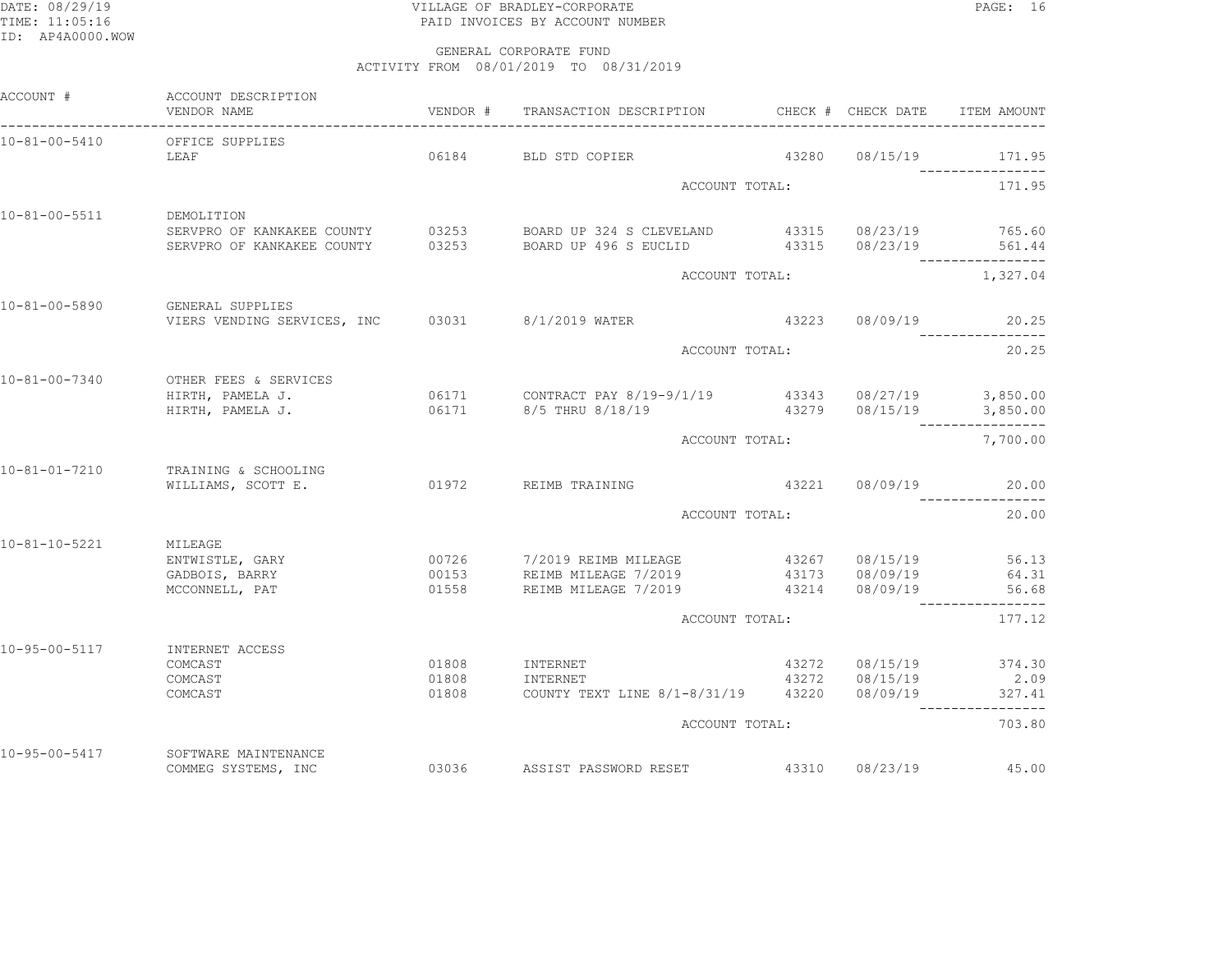## DATE: 08/29/19 VILLAGE OF BRADLEY-CORPORATE PAGE: 16TIME: 11:05:16 PAID INVOICES BY ACCOUNT NUMBER

| ACCOUNT #             | ACCOUNT DESCRIPTION<br>VENDOR NAME               |       | VENDOR # TRANSACTION DESCRIPTION CHECK # CHECK DATE                                                                                  |                |                      | ITEM AMOUNT               |
|-----------------------|--------------------------------------------------|-------|--------------------------------------------------------------------------------------------------------------------------------------|----------------|----------------------|---------------------------|
| $10 - 81 - 00 - 5410$ | OFFICE SUPPLIES                                  |       |                                                                                                                                      |                |                      |                           |
|                       | LEAF                                             |       | 06184 BLD STD COPIER                                                                                                                 | 43280          | 08/15/19             | 171.95                    |
|                       |                                                  |       | ACCOUNT TOTAL:                                                                                                                       |                |                      | 171.95                    |
| $10 - 81 - 00 - 5511$ | DEMOLITION                                       |       |                                                                                                                                      |                |                      |                           |
|                       | SERVPRO OF KANKAKEE COUNTY                       |       | SERVPRO OF KANKAKEE COUNTY 03253 BOARD UP 324 S CLEVELAND 43315 08/23/19 765.60<br>03253 BOARD UP 496 S EUCLID 43315 08/23/19 561.44 |                |                      |                           |
|                       |                                                  |       | ACCOUNT TOTAL:                                                                                                                       |                |                      | 1,327.04                  |
| $10 - 81 - 00 - 5890$ | GENERAL SUPPLIES                                 |       |                                                                                                                                      |                |                      |                           |
|                       | VIERS VENDING SERVICES, INC 03031 8/1/2019 WATER |       |                                                                                                                                      |                | 43223 08/09/19 20.25 |                           |
|                       |                                                  |       | ACCOUNT TOTAL:                                                                                                                       | 20.25          |                      |                           |
| 10-81-00-7340         | OTHER FEES & SERVICES                            |       |                                                                                                                                      |                |                      |                           |
|                       | HIRTH, PAMELA J.                                 |       |                                                                                                                                      |                |                      |                           |
|                       |                                                  |       |                                                                                                                                      | ACCOUNT TOTAL: |                      |                           |
|                       |                                                  |       |                                                                                                                                      |                |                      | 7,700.00                  |
| $10 - 81 - 01 - 7210$ | TRAINING & SCHOOLING<br>WILLIAMS, SCOTT E.       |       | 01972 REIMB TRAINING                                                                                                                 |                | 43221 08/09/19       | 20.00                     |
|                       |                                                  |       | ACCOUNT TOTAL:                                                                                                                       |                |                      | 20.00                     |
| $10 - 81 - 10 - 5221$ | MILEAGE                                          |       |                                                                                                                                      |                |                      |                           |
|                       | ENTWISTLE, GARY                                  |       | 00726 7/2019 REIMB MILEAGE                                                                                                           |                | 43267 08/15/19       | 56.13                     |
|                       | GADBOIS, BARRY                                   |       | 00153 REIMB MILEAGE 7/2019<br>01558 REIMB MILEAGE 7/2019                                                                             |                |                      | 64.31                     |
|                       | MCCONNELL, PAT                                   |       |                                                                                                                                      |                |                      | 56.68<br>---------------- |
|                       |                                                  |       | ACCOUNT TOTAL:                                                                                                                       |                |                      | 177.12                    |
| 10-95-00-5117         | INTERNET ACCESS                                  |       |                                                                                                                                      |                |                      |                           |
|                       | COMCAST                                          |       | 01808 INTERNET                                                                                                                       |                |                      | 43272 08/15/19 374.30     |
|                       | COMCAST                                          |       | 01808 INTERNET                                                                                                                       |                |                      | 43272 08/15/19 2.09       |
|                       | COMCAST                                          | 01808 | COUNTY TEXT LINE 8/1-8/31/19  43220  08/09/19  327.41                                                                                |                |                      |                           |
|                       |                                                  |       | ACCOUNT TOTAL:                                                                                                                       |                |                      | 703.80                    |
| $10 - 95 - 00 - 5417$ | SOFTWARE MAINTENANCE                             |       |                                                                                                                                      |                |                      |                           |
|                       | COMMEG SYSTEMS, INC                              |       | 03036 ASSIST PASSWORD RESET                                                                                                          |                | 43310 08/23/19       | 45.00                     |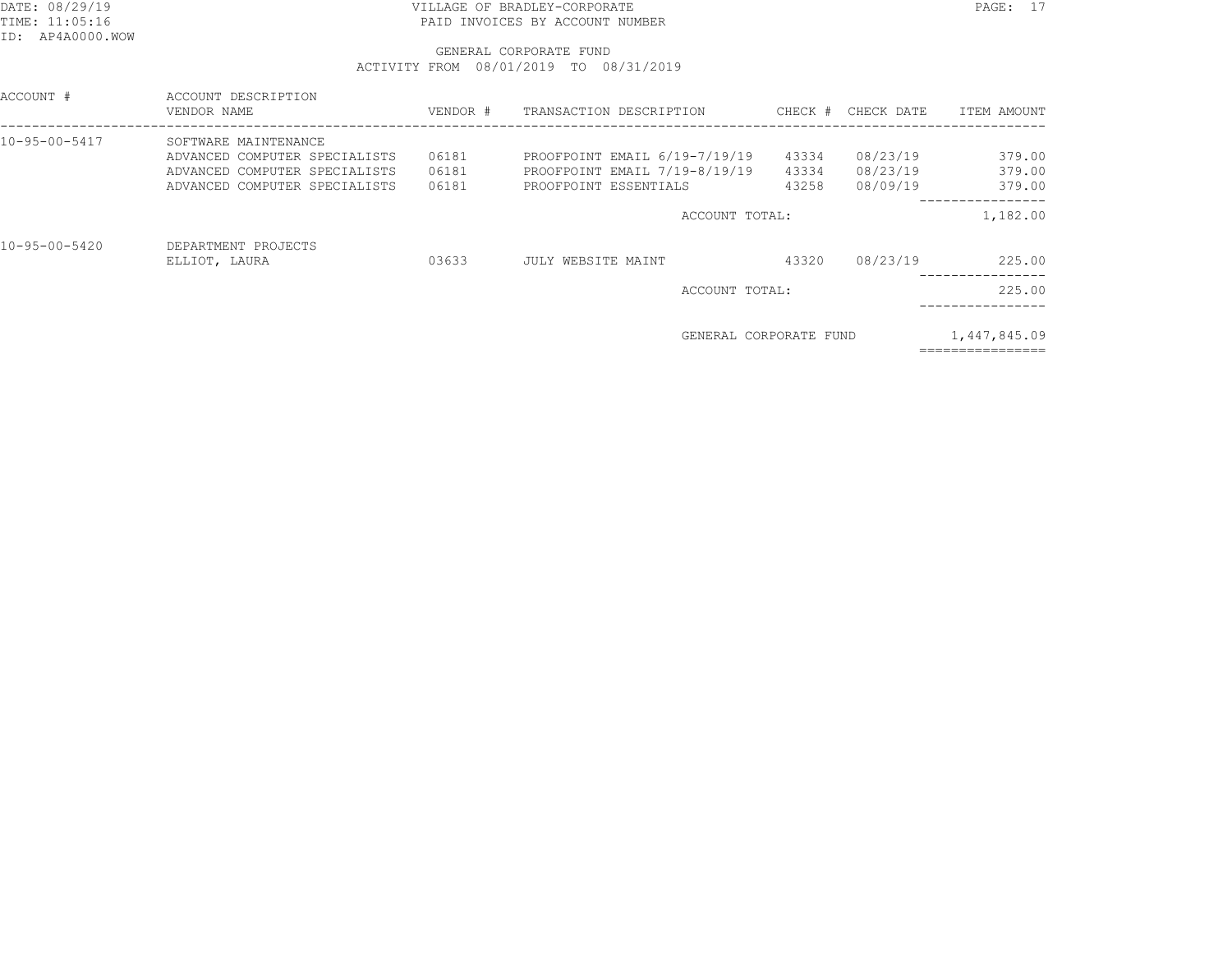## DATE: 08/29/19 VILLAGE OF BRADLEY-CORPORATE PAGE: 17TIME: 11:05:16 PAID INVOICES BY ACCOUNT NUMBER

| ACCOUNT #             | ACCOUNT DESCRIPTION<br>VENDOR NAME | VENDOR # | TRANSACTION DESCRIPTION       |       | CHECK # CHECK DATE | ITEM AMOUNT                       |
|-----------------------|------------------------------------|----------|-------------------------------|-------|--------------------|-----------------------------------|
| $10 - 95 - 00 - 5417$ | SOFTWARE MAINTENANCE               |          |                               |       |                    |                                   |
|                       | ADVANCED COMPUTER SPECIALISTS      | 06181    | PROOFPOINT EMAIL 6/19-7/19/19 | 43334 | 08/23/19           | 379.00                            |
|                       | ADVANCED COMPUTER SPECIALISTS      | 06181    | PROOFPOINT EMAIL 7/19-8/19/19 | 43334 | 08/23/19           | 379.00                            |
|                       | ADVANCED COMPUTER SPECIALISTS      | 06181    | PROOFPOINT ESSENTIALS         | 43258 | 08/09/19           | 379.00                            |
|                       |                                    |          | ACCOUNT TOTAL:                |       |                    | 1,182.00                          |
| $10 - 95 - 00 - 5420$ | DEPARTMENT PROJECTS                |          |                               |       |                    |                                   |
|                       | ELLIOT, LAURA                      | 03633    | JULY WEBSITE MAINT            | 43320 | 08/23/19           | 225.00                            |
|                       |                                    |          | ACCOUNT TOTAL:                |       |                    | 225.00                            |
|                       |                                    |          |                               |       |                    |                                   |
|                       |                                    |          | GENERAL CORPORATE FUND        |       |                    | 1,447,845.09<br>================= |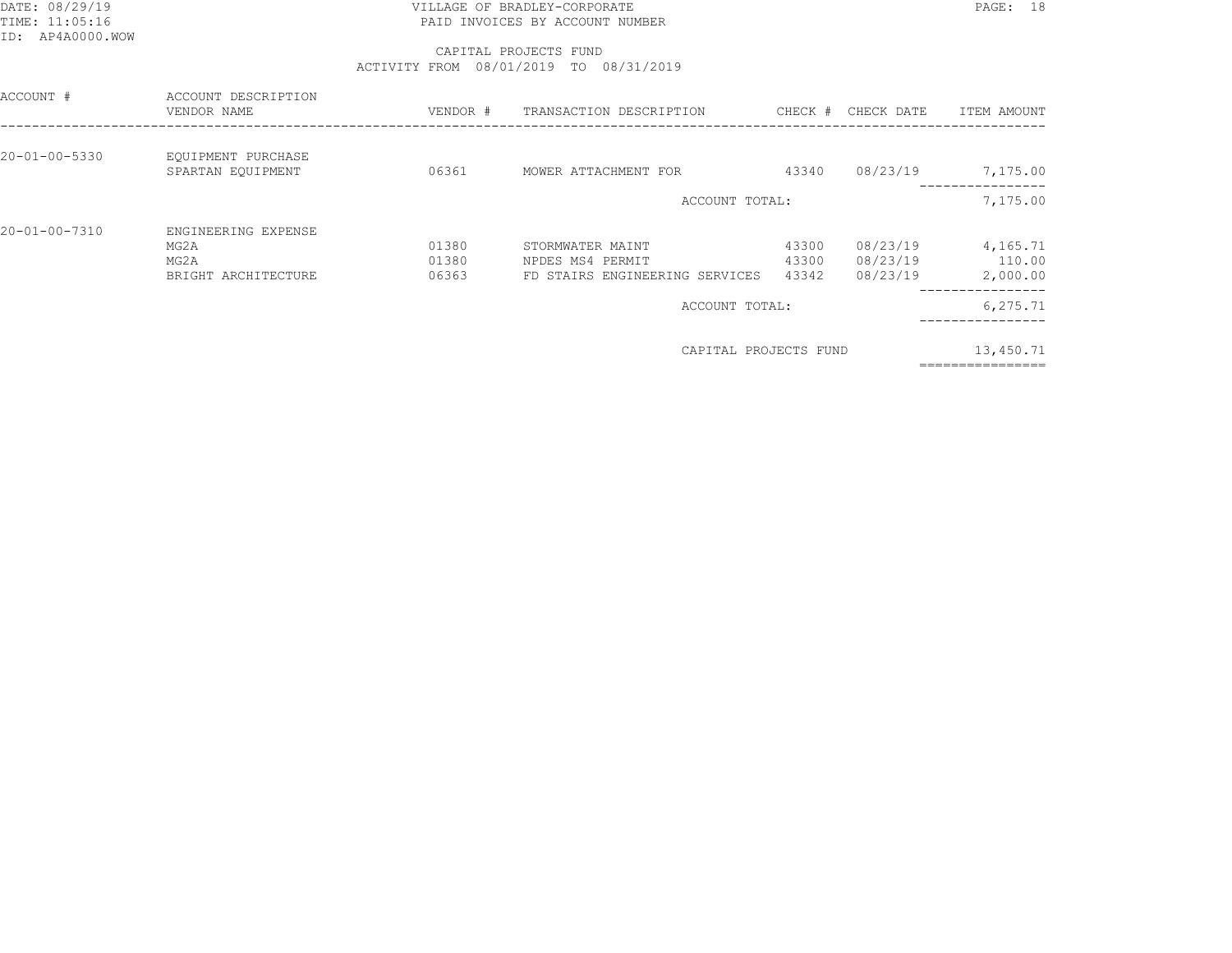## DATE: 08/29/19 PAGE: 18 TIME: 11:05:16 PAID INVOICES BY ACCOUNT NUMBER

 CAPITAL PROJECTS FUNDACTIVITY FROM 08/01/2019 TO 08/31/2019

| ACCOUNT #             | ACCOUNT DESCRIPTION<br>VENDOR NAME | VENDOR # | TRANSACTION DESCRIPTION        | CHECK # | CHECK DATE | ITEM AMOUNT |
|-----------------------|------------------------------------|----------|--------------------------------|---------|------------|-------------|
| $20 - 01 - 00 - 5330$ | EQUIPMENT PURCHASE                 |          |                                |         |            |             |
|                       | SPARTAN EQUIPMENT                  | 06361    | MOWER ATTACHMENT FOR           | 43340   | 08/23/19   | 7,175.00    |
|                       |                                    |          | ACCOUNT TOTAL:                 |         |            | 7,175.00    |
| 20-01-00-7310         | ENGINEERING EXPENSE                |          |                                |         |            |             |
|                       | MG2A                               | 01380    | STORMWATER MAINT               | 43300   | 08/23/19   | 4,165.71    |
|                       | MG2A                               | 01380    | NPDES MS4 PERMIT               | 43300   | 08/23/19   | 110.00      |
|                       | BRIGHT ARCHITECTURE                | 06363    | FD STAIRS ENGINEERING SERVICES | 43342   | 08/23/19   | 2,000.00    |
|                       |                                    |          | ACCOUNT TOTAL:                 |         |            | 6,275.71    |
|                       |                                    |          |                                |         |            |             |

CAPITAL PROJECTS FUND 13,450.71

================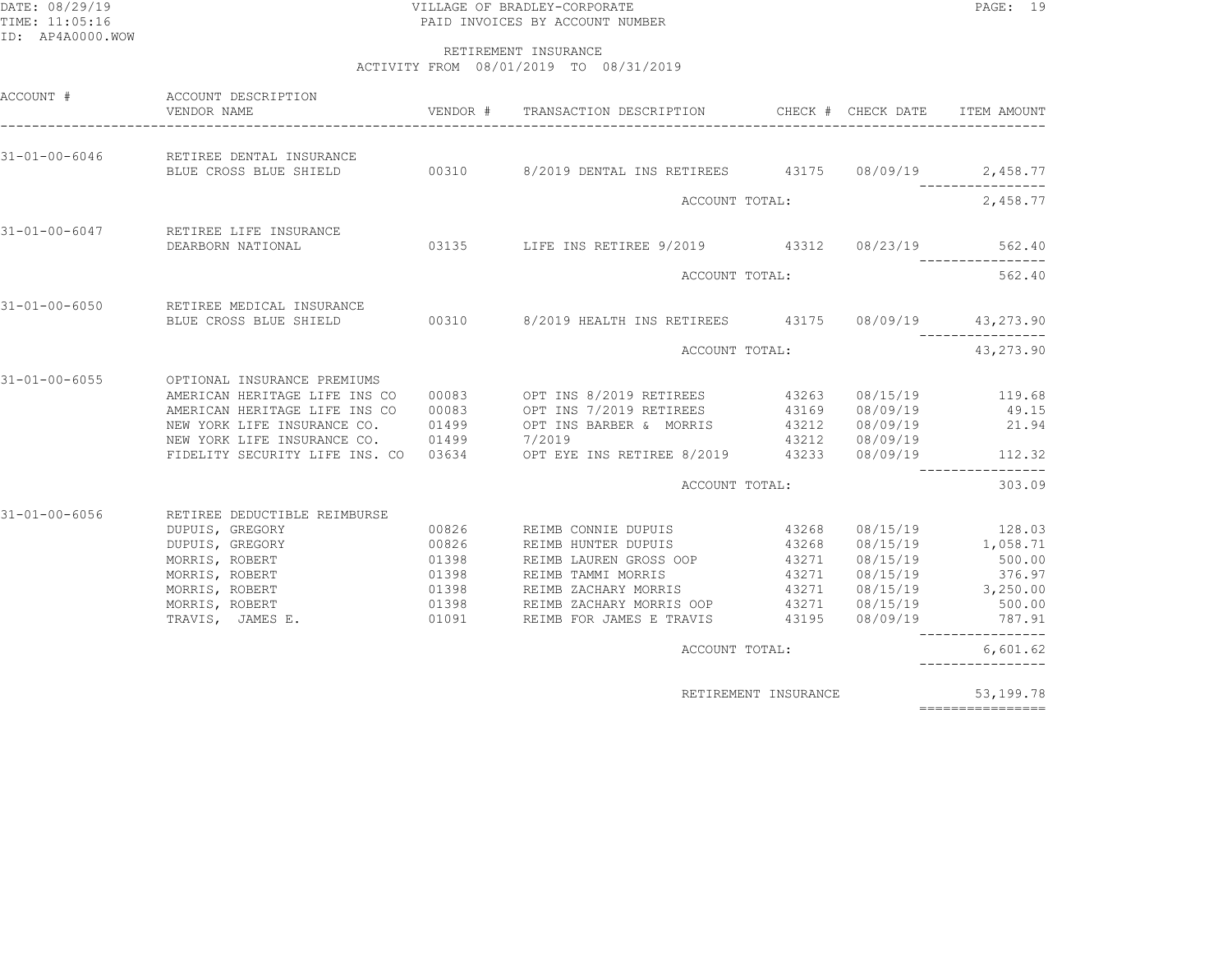## DATE: 08/29/19 VILLAGE OF BRADLEY-CORPORATE PAGE: 19TIME: 11:05:16 PAID INVOICES BY ACCOUNT NUMBER

#### RETIREMENT INSURANCEACTIVITY FROM 08/01/2019 TO 08/31/2019

| ACCOUNT #             | ACCOUNT DESCRIPTION<br>VENDOR NAME                                                                                                                                                                                                                                                                       |                         |                                                                                                                    |                      |                                                                                                                                    | ITEM AMOUNT                                 |
|-----------------------|----------------------------------------------------------------------------------------------------------------------------------------------------------------------------------------------------------------------------------------------------------------------------------------------------------|-------------------------|--------------------------------------------------------------------------------------------------------------------|----------------------|------------------------------------------------------------------------------------------------------------------------------------|---------------------------------------------|
| $31 - 01 - 00 - 6046$ | RETIREE DENTAL INSURANCE                                                                                                                                                                                                                                                                                 |                         |                                                                                                                    |                      |                                                                                                                                    |                                             |
|                       |                                                                                                                                                                                                                                                                                                          |                         | ACCOUNT TOTAL:                                                                                                     |                      |                                                                                                                                    | 2,458.77                                    |
| $31 - 01 - 00 - 6047$ | RETIREE LIFE INSURANCE<br>DEARBORN NATIONAL                                                                                                                                                                                                                                                              |                         | 03135 LIFE INS RETIREE 9/2019 43312 08/23/19                                                                       |                      |                                                                                                                                    | 562.40                                      |
|                       |                                                                                                                                                                                                                                                                                                          |                         | ACCOUNT TOTAL:                                                                                                     |                      |                                                                                                                                    | 562.40                                      |
| $31 - 01 - 00 - 6050$ | RETIREE MEDICAL INSURANCE<br>BLUE CROSS BLUE SHIELD 60310 8/2019 HEALTH INS RETIREES 43175 08/09/19 43,273.90                                                                                                                                                                                            |                         |                                                                                                                    |                      |                                                                                                                                    |                                             |
|                       |                                                                                                                                                                                                                                                                                                          |                         | ACCOUNT TOTAL:                                                                                                     |                      |                                                                                                                                    | 43, 273.90                                  |
| $31 - 01 - 00 - 6055$ | OPTIONAL INSURANCE PREMIUMS<br>AMERICAN HERITAGE LIFE INS CO<br>AMERICAN HERITAGE LIFE INS CO<br>NEW YORK LIFE INSURANCE CO. 01499<br>NEW YORK LIFE INSURANCE CO. 01499 7/2019 12015 1NS RETIREE 8/2019 43212 08/09/19<br>FIDELITY SECURITY LIFE INS. CO 03634 OPT EYE INS RETIREE 8/2019 43233 08/09/19 | 00083                   | 00083 OPT INS 8/2019 RETIREES 43263<br>OPT INS 7/2019 RETIREES<br>OPT INS BARBER & MORRIS 43212                    | 43169                | 08/09/19<br>08/09/19                                                                                                               | 08/15/19 119.68<br>49.15<br>21.94<br>112.32 |
|                       |                                                                                                                                                                                                                                                                                                          |                         | ACCOUNT TOTAL:                                                                                                     |                      |                                                                                                                                    | 303.09                                      |
| $31 - 01 - 00 - 6056$ | RETIREE DEDUCTIBLE REIMBURSE<br>DUPUIS, GREGORY<br>DUPUIS, GREGORY<br>MORRIS, ROBERT<br>MORRIS, ROBERT 01398<br>MORRIS, ROBERT 01398                                                                                                                                                                     | 00826<br>00826<br>01398 | REIMB CONNIE DUPUIS<br>REIMB HUNTER DUPUIS<br>REIMB LAUREN GROSS OOP<br>REIMB TAMMI MORRIS<br>REIMB ZACHARY MORRIS | 43268<br>43271       | 43268 08/15/19 128.03<br>43268 08/15/19 1,058.71<br>08/15/19<br>43271 08/15/19<br>43271 08/15/19 3,250.00<br>43271 08/15/19 500.00 | 500.00<br>376.97<br>787.91                  |
|                       |                                                                                                                                                                                                                                                                                                          |                         | ACCOUNT TOTAL:                                                                                                     |                      |                                                                                                                                    | 6,601.62<br>________________                |
|                       |                                                                                                                                                                                                                                                                                                          |                         |                                                                                                                    | RETIREMENT INSURANCE |                                                                                                                                    | 53,199.78                                   |

================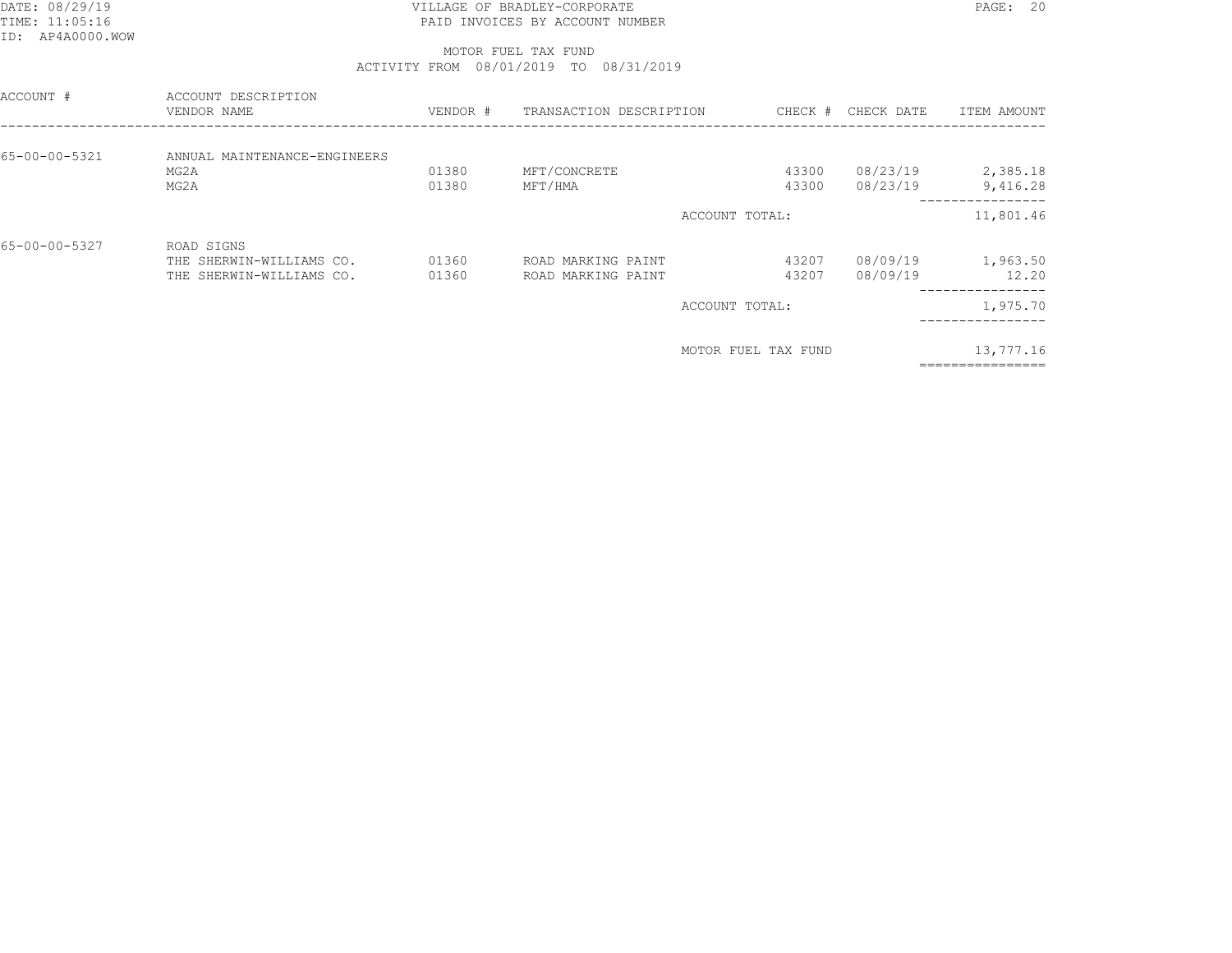## DATE: 08/29/19 PAGE: 20 PAGE: 20 PAGE: 20 PAGE: 20 PAGE: 20 PAGE: 20 PAGE: 20 PAGE: 20 TIME: 11:05:16 PAID INVOICES BY ACCOUNT NUMBER

#### MOTOR FUEL TAX FUNDACTIVITY FROM 08/01/2019 TO 08/31/2019

| ACCOUNT #     | ACCOUNT DESCRIPTION<br>VENDOR NAME                                 | VENDOR #       | TRANSACTION DESCRIPTION                  | CHECK #             | CHECK DATE           | ITEM AMOUNT                        |
|---------------|--------------------------------------------------------------------|----------------|------------------------------------------|---------------------|----------------------|------------------------------------|
| 65-00-00-5321 | ANNUAL MAINTENANCE-ENGINEERS<br>MG2A<br>MG2A                       | 01380<br>01380 | MFT/CONCRETE<br>MFT/HMA                  | 43300<br>43300      | 08/23/19<br>08/23/19 | 2,385.18<br>9,416.28               |
|               |                                                                    |                |                                          | ACCOUNT TOTAL:      |                      | 11,801.46                          |
| 65-00-00-5327 | ROAD SIGNS<br>THE SHERWIN-WILLIAMS CO.<br>THE SHERWIN-WILLIAMS CO. | 01360<br>01360 | ROAD MARKING PAINT<br>ROAD MARKING PAINT | 43207<br>43207      | 08/09/19<br>08/09/19 | 1,963.50<br>12.20<br>------------- |
|               |                                                                    |                |                                          | ACCOUNT TOTAL:      |                      | 1,975.70                           |
|               |                                                                    |                |                                          | MOTOR FUEL TAX FUND |                      | 13,777.16                          |

================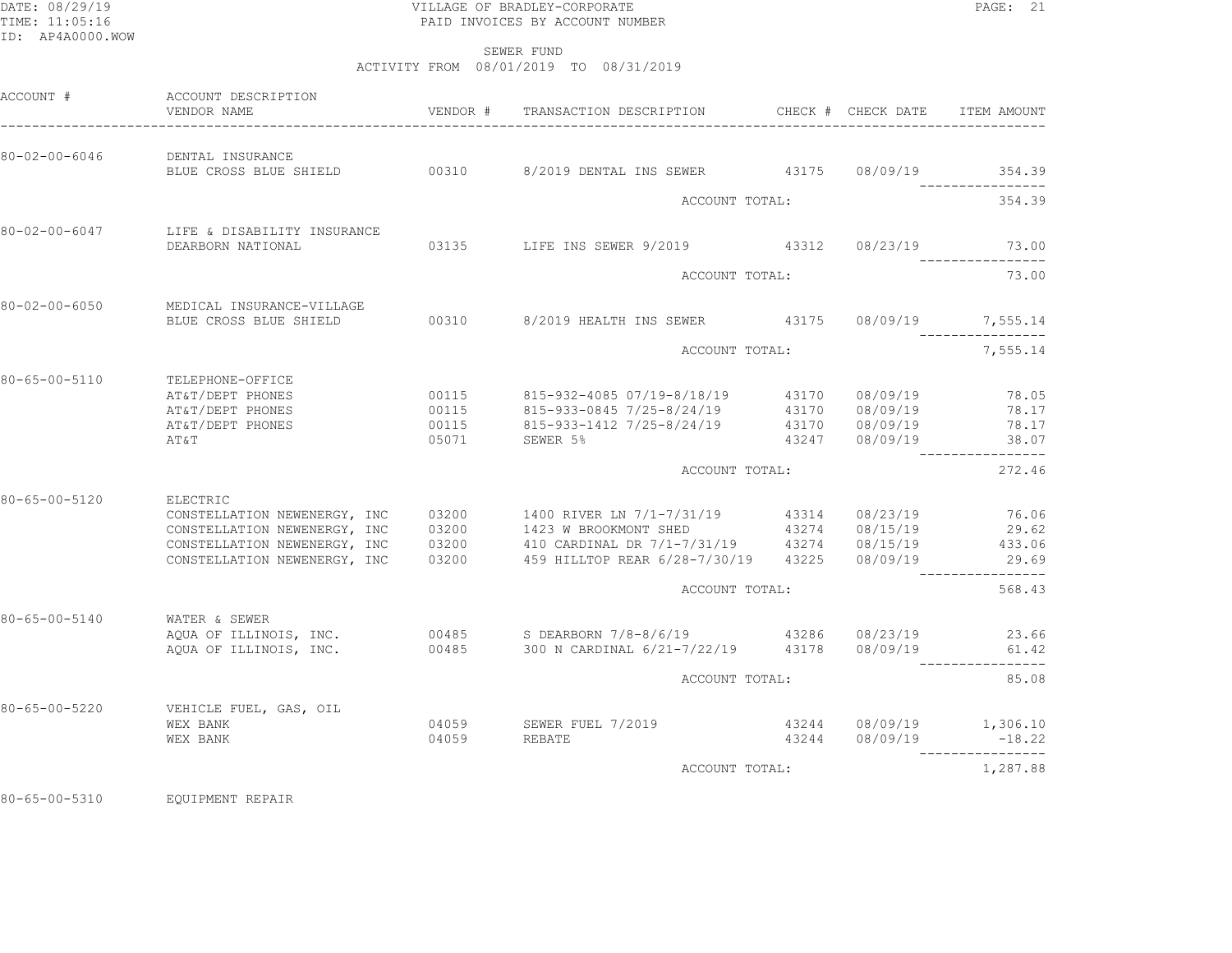## DATE: 08/29/19 PAGE: 21 PAGE: 21 TIME: 11:05:16 PAID INVOICES BY ACCOUNT NUMBER

SEWER FUND

ACTIVITY FROM 08/01/2019 TO 08/31/2019

|                       | ACCOUNT DESCRIPTION<br>VENDOR NAME                                                                                                       | VENDOR # | TRANSACTION DESCRIPTION                                                                                                                                                                                                                                     | CHECK # CHECK DATE                               | ITEM AMOUNT                                 |
|-----------------------|------------------------------------------------------------------------------------------------------------------------------------------|----------|-------------------------------------------------------------------------------------------------------------------------------------------------------------------------------------------------------------------------------------------------------------|--------------------------------------------------|---------------------------------------------|
| 80-02-00-6046         | DENTAL INSURANCE                                                                                                                         |          | BLUE CROSS BLUE SHIELD 00310 8/2019 DENTAL INS SEWER 43175 08/09/19 354.39                                                                                                                                                                                  |                                                  |                                             |
|                       |                                                                                                                                          |          | ACCOUNT TOTAL:                                                                                                                                                                                                                                              |                                                  | 354.39                                      |
| 80-02-00-6047         | LIFE & DISABILITY INSURANCE<br>DEARBORN NATIONAL                                                                                         |          | 03135 LIFE INS SEWER 9/2019 43312 08/23/19                                                                                                                                                                                                                  |                                                  | 73.00                                       |
|                       |                                                                                                                                          |          | ACCOUNT TOTAL:                                                                                                                                                                                                                                              |                                                  | 73.00                                       |
| 80-02-00-6050         | MEDICAL INSURANCE-VILLAGE<br>BLUE CROSS BLUE SHIELD                                                                                      |          | 00310 8/2019 HEALTH INS SEWER 43175 08/09/19 7,555.14                                                                                                                                                                                                       |                                                  |                                             |
|                       |                                                                                                                                          |          | ACCOUNT TOTAL:                                                                                                                                                                                                                                              | . _ _ _ _ _ _ _ _ _ _ _ _<br>7,555.14            |                                             |
| 80-65-00-5110         | TELEPHONE-OFFICE<br>AT&T/DEPT PHONES<br>AT&T/DEPT PHONES<br>AT&T/DEPT PHONES<br>AT&T                                                     |          | 00115 815-932-4085 07/19-8/18/19 43170 08/09/19<br>00115 815-933-0845 7/25-8/24/19 43170 08/09/19                                                                                                                                                           |                                                  | 78.05<br>78.17<br>78.17<br>38.07            |
|                       |                                                                                                                                          |          | ACCOUNT TOTAL:                                                                                                                                                                                                                                              |                                                  | 272.46                                      |
| 80-65-00-5120         | ELECTRIC<br>CONSTELLATION NEWENERGY, INC<br>CONSTELLATION NEWENERGY, INC<br>CONSTELLATION NEWENERGY, INC<br>CONSTELLATION NEWENERGY, INC |          | 03200 1400 RIVER LN 7/1-7/31/19 43314 08/23/19<br>03200 1423 W BROOKMONT SHED 43274 08/15/19<br>03200           410 CARDINAL DR  7/1-7/31/19           43274       08/15/19<br>03200            459  HILLTOP REAR  6/28-7/30/19        43225       08/09/19 |                                                  | 76.06<br>29.62<br>433.06<br>29.69<br>568.43 |
| 80-65-00-5140         | WATER & SEWER                                                                                                                            |          | AQUA OF ILLINOIS, INC. 00485 S DEARBORN 7/8-8/6/19 43286 08/23/19<br>AQUA OF ILLINOIS, INC. 60485 300 N CARDINAL 6/21-7/22/19 43178 08/09/19                                                                                                                |                                                  | 23.66<br>61.42                              |
|                       |                                                                                                                                          |          | ACCOUNT TOTAL:                                                                                                                                                                                                                                              |                                                  | 85.08                                       |
| $80 - 65 - 00 - 5220$ | VEHICLE FUEL, GAS, OIL<br>WEX BANK<br>WEX BANK                                                                                           | 04059    | 04059 SEWER FUEL 7/2019<br>REBATE                                                                                                                                                                                                                           | 43244 08/09/19 1,306.10<br>43244 08/09/19 -18.22 |                                             |
|                       |                                                                                                                                          |          | ACCOUNT TOTAL:                                                                                                                                                                                                                                              |                                                  | 1,287.88                                    |
|                       |                                                                                                                                          |          | ACCOUNT TOTAL:                                                                                                                                                                                                                                              |                                                  |                                             |

80-65-00-5310 EQUIPMENT REPAIR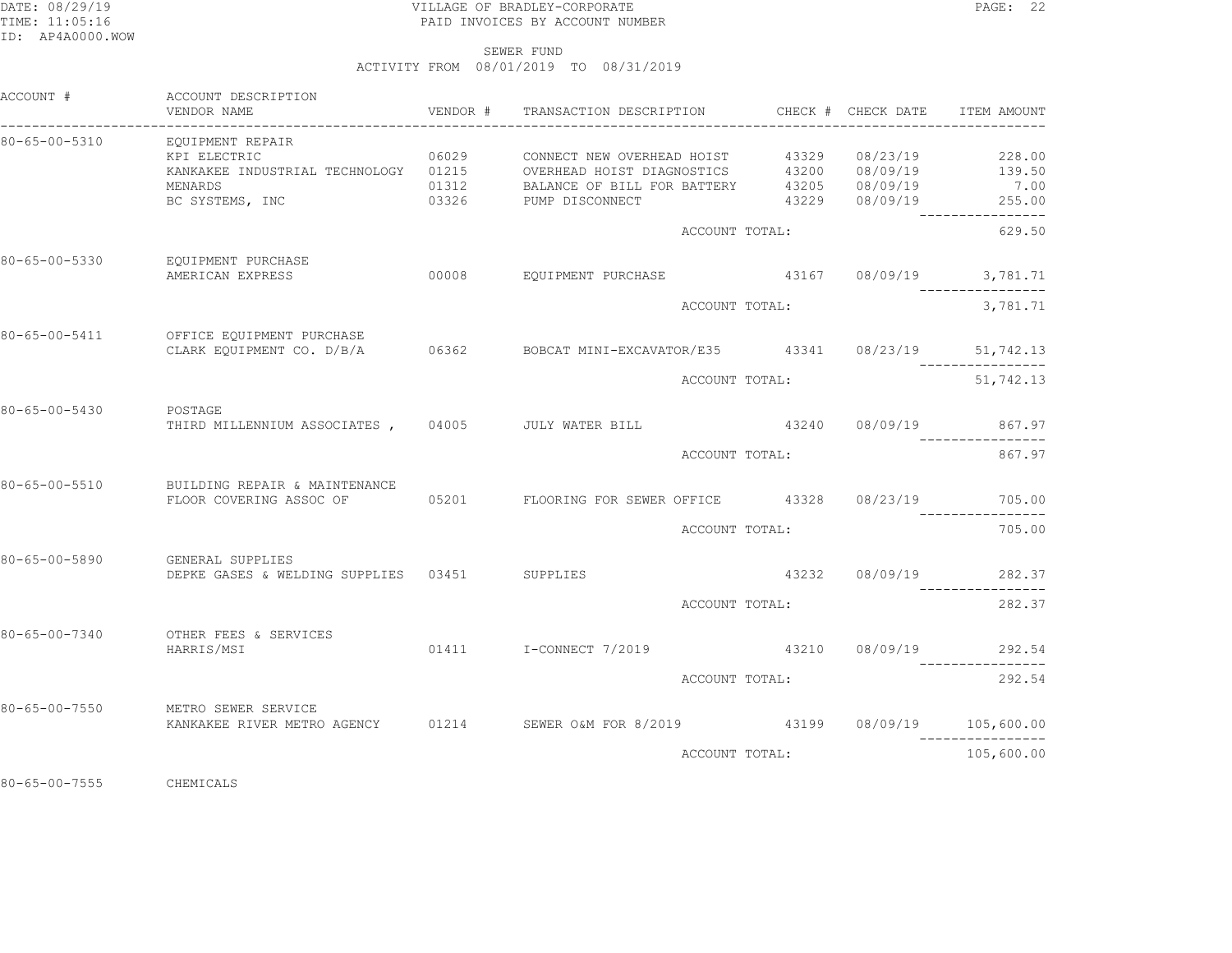## DATE: 08/29/19 PAGE: 22 TIME: 11:05:16 PAID INVOICES BY ACCOUNT NUMBER

SEWER FUND

ACTIVITY FROM 08/01/2019 TO 08/31/2019

| ACCOUNT #             | ACCOUNT DESCRIPTION<br>VENDOR NAME                                                                                                   | VENDOR # | TRANSACTION DESCRIPTION CHECK # CHECK DATE                 | --------------------------- |                                  | ITEM AMOUNT                                 |
|-----------------------|--------------------------------------------------------------------------------------------------------------------------------------|----------|------------------------------------------------------------|-----------------------------|----------------------------------|---------------------------------------------|
| 80-65-00-5310         | EQUIPMENT REPAIR<br>KPI ELECTRIC<br>KANKAKEE INDUSTRIAL TECHNOLOGY 01215 OVERHEAD HOIST DIAGNOSTICS 43200 08/09/19 139.50<br>MENARDS | 06029    | CONNECT NEW OVERHEAD HOIST                                 |                             | 43329 08/23/19<br>43205 08/09/19 | 228.00<br>7.00                              |
|                       | BC SYSTEMS, INC                                                                                                                      |          | 01312 BALANCE OF BILL FOR BATTERY<br>03326 PUMP DISCONNECT |                             | 43229 08/09/19                   | 255.00<br>----------------                  |
|                       |                                                                                                                                      |          |                                                            | ACCOUNT TOTAL:              |                                  | 629.50                                      |
| 80-65-00-5330         | EQUIPMENT PURCHASE<br>AMERICAN EXPRESS                                                                                               | 00008    | EQUIPMENT PURCHASE                                         |                             |                                  | 43167 08/09/19 3,781.71<br>________________ |
|                       |                                                                                                                                      |          |                                                            | ACCOUNT TOTAL:              |                                  | 3,781.71                                    |
| 80-65-00-5411         | OFFICE EQUIPMENT PURCHASE<br>CLARK EQUIPMENT CO. D/B/A                                                                               |          | 06362 BOBCAT MINI-EXCAVATOR/E35 43341 08/23/19 51,742.13   |                             |                                  |                                             |
|                       |                                                                                                                                      |          |                                                            | ACCOUNT TOTAL:              |                                  | 51,742.13                                   |
| 80-65-00-5430         | POSTAGE<br>THIRD MILLENNIUM ASSOCIATES,                                                                                              |          | 04005 JULY WATER BILL                                      |                             | 43240 08/09/19                   | 867.97                                      |
|                       |                                                                                                                                      |          | ACCOUNT TOTAL:                                             |                             |                                  | 867.97                                      |
| 80-65-00-5510         | BUILDING REPAIR & MAINTENANCE<br>FLOOR COVERING ASSOC OF                                                                             |          | 05201 FLOORING FOR SEWER OFFICE 43328 08/23/19             |                             |                                  | 705.00                                      |
|                       |                                                                                                                                      |          |                                                            | ACCOUNT TOTAL:              |                                  | 705.00                                      |
| 80-65-00-5890         | GENERAL SUPPLIES<br>DEPKE GASES & WELDING SUPPLIES 03451 SUPPLIES                                                                    |          |                                                            |                             | 43232 08/09/19                   | 282.37                                      |
|                       |                                                                                                                                      |          | ACCOUNT TOTAL:                                             |                             |                                  | 282.37                                      |
| $80 - 65 - 00 - 7340$ | OTHER FEES & SERVICES<br>HARRIS/MSI                                                                                                  |          |                                                            |                             |                                  | 43210 08/09/19 292.54                       |
|                       |                                                                                                                                      |          |                                                            | ACCOUNT TOTAL:              |                                  | 292.54                                      |
| $80 - 65 - 00 - 7550$ | METRO SEWER SERVICE<br>KANKAKEE RIVER METRO AGENCY 01214 SEWER O&M FOR 8/2019 43199 08/09/19 105,600.00                              |          |                                                            |                             |                                  |                                             |
|                       |                                                                                                                                      |          |                                                            | ACCOUNT TOTAL:              |                                  | 105,600.00                                  |

80-65-00-7555 CHEMICALS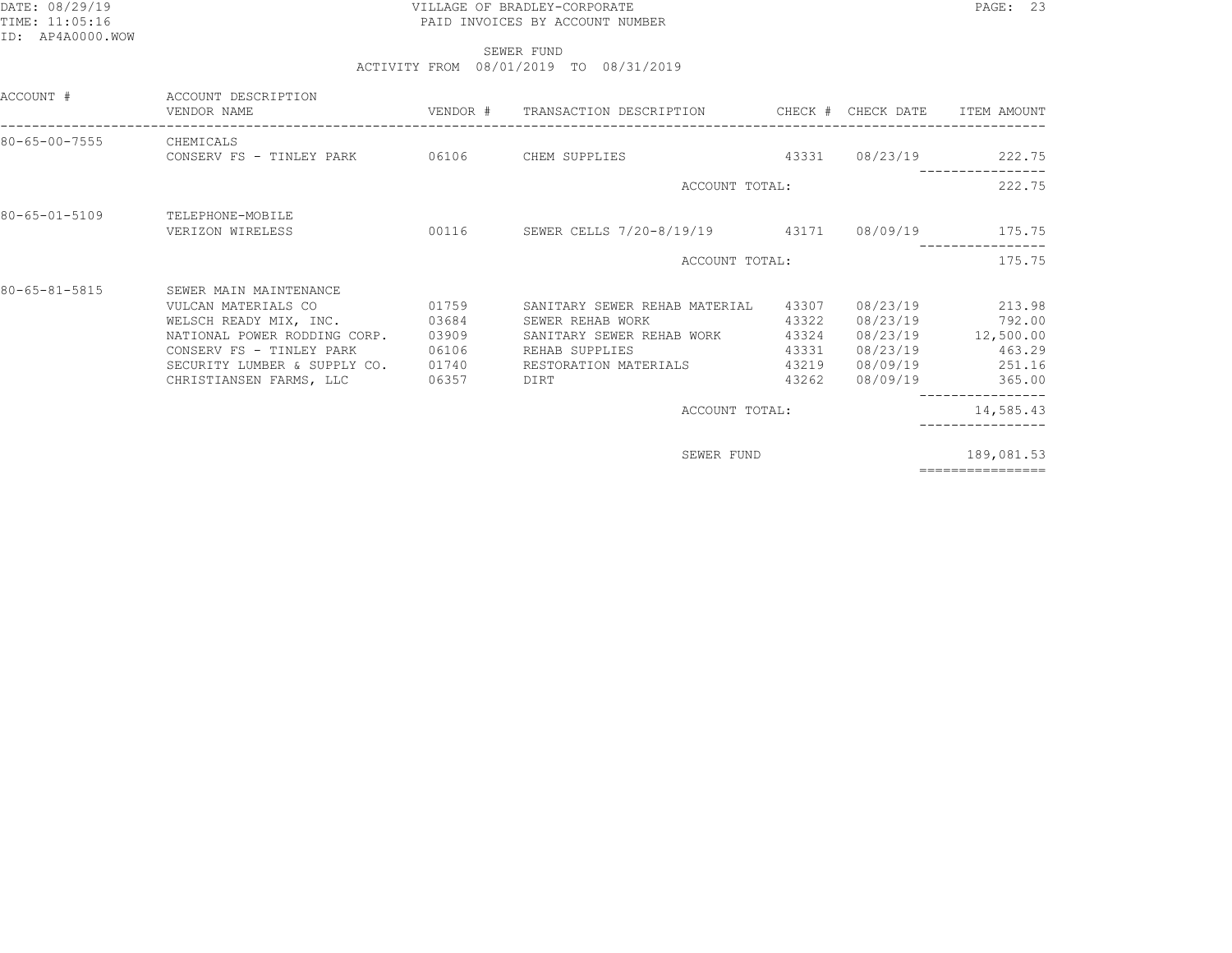## DATE: 08/29/19 PAGE: 23 TIME: 11:05:16 PAID INVOICES BY ACCOUNT NUMBER

 SEWER FUNDACTIVITY FROM 08/01/2019 TO 08/31/2019

| ACCOUNT DESCRIPTION<br>VENDOR NAME                                                                                                                                                             |                                                    |                                                                                                      |                                                    |                                                                                               | ITEM AMOUNT                                                                                                          |
|------------------------------------------------------------------------------------------------------------------------------------------------------------------------------------------------|----------------------------------------------------|------------------------------------------------------------------------------------------------------|----------------------------------------------------|-----------------------------------------------------------------------------------------------|----------------------------------------------------------------------------------------------------------------------|
| CHEMICALS                                                                                                                                                                                      |                                                    |                                                                                                      |                                                    |                                                                                               | 08/23/19 222.75                                                                                                      |
|                                                                                                                                                                                                |                                                    |                                                                                                      |                                                    |                                                                                               | 222.75                                                                                                               |
| TELEPHONE-MOBILE<br>VERIZON WIRELESS                                                                                                                                                           |                                                    |                                                                                                      |                                                    |                                                                                               |                                                                                                                      |
|                                                                                                                                                                                                |                                                    |                                                                                                      |                                                    |                                                                                               | 175.75                                                                                                               |
| SEWER MAIN MAINTENANCE<br>VULCAN MATERIALS CO<br>WELSCH READY MIX, INC.<br>NATIONAL POWER RODDING CORP.<br>CONSERV FS - TINLEY PARK<br>SECURITY LUMBER & SUPPLY CO.<br>CHRISTIANSEN FARMS, LLC | 01759<br>03684<br>03909<br>06106<br>01740<br>06357 | SANITARY SEWER REHAB MATERIAL<br>SEWER REHAB WORK<br>REHAB SUPPLIES<br>RESTORATION MATERIALS<br>DIRT | 43307<br>43322<br>43324<br>43331<br>43219<br>43262 | 08/23/19<br>08/23/19<br>08/23/19<br>08/09/19<br>08/09/19                                      | 213.98<br>792.00<br>08/23/19 12,500.00<br>463.29<br>251.16<br>365.00                                                 |
|                                                                                                                                                                                                |                                                    |                                                                                                      |                                                    |                                                                                               | 14,585.43                                                                                                            |
|                                                                                                                                                                                                |                                                    |                                                                                                      |                                                    |                                                                                               | 189,081.53<br>================                                                                                       |
|                                                                                                                                                                                                |                                                    |                                                                                                      | CONSERV FS - TINLEY PARK 06106 CHEM SUPPLIES       | ACCOUNT TOTAL:<br>ACCOUNT TOTAL:<br>SANITARY SEWER REHAB WORK<br>ACCOUNT TOTAL:<br>SEWER FUND | VENDOR # TRANSACTION DESCRIPTION CHECK # CHECK DATE<br>43331<br>00116 SEWER CELLS 7/20-8/19/19 43171 08/09/19 175.75 |